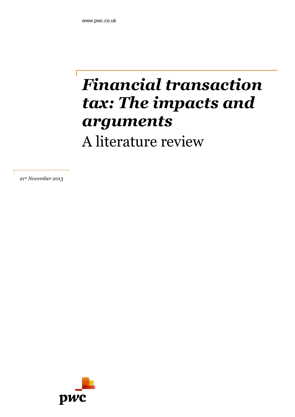# *Financial transaction tax: The impacts and arguments* A literature review

*21st November 2013*

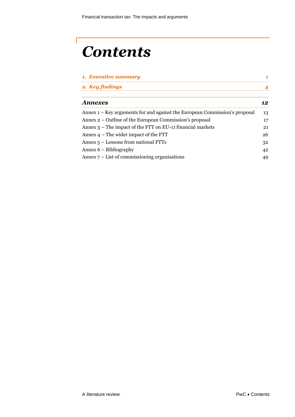# Г *Contents*

| 1. Executive summary                                                       |    |
|----------------------------------------------------------------------------|----|
| 2. Key findings                                                            |    |
| <b>Annexes</b>                                                             |    |
| Annex 1 – Key arguments for and against the European Commission's proposal | 13 |
| Annex 2 – Outline of the European Commission's proposal                    | 17 |
| Annex $3$ – The impact of the FTT on EU-11 financial markets               | 21 |
| Annex $4$ – The wider impact of the FTT                                    | 26 |
| Annex $5$ – Lessons from national FTTs                                     | 32 |
| Annex $6$ – Bibliography                                                   | 42 |
| Annex $7$ – List of commissioning organisations                            | 49 |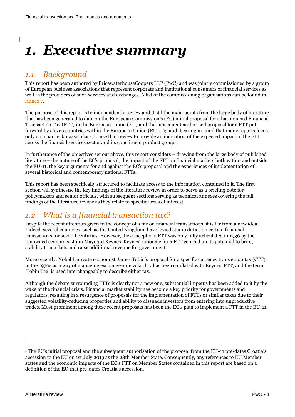# <span id="page-2-0"></span>*1. Executive summary*

# *1.1 Background*

This report has been authored by PricewaterhouseCoopers LLP (PwC) and was jointly commissioned by a group of European business associations that represent corporate and institutional consumers of financial services as well as the providers of such services and exchanges. A list of the commissioning organisations can be found in Annex 7.

The purpose of this report is to independently review and distil the main points from the large body of literature that has been generated to date on the European Commission's (EC) initial proposal for a harmonised Financial Transaction Tax (FTT) in the European Union (EU) and the subsequent authorised proposal for a FTT put forward by eleven countries within the European Union (EU-11); <sup>1</sup> and, bearing in mind that many reports focus only on a particular asset class, to use that review to provide an indication of the expected impact of the FTT across the financial services sector and its constituent product groups.

In furtherance of the objectives set out above, this report considers – drawing from the large body of published literature – the nature of the EC's proposal, the impact of the FTT on financial markets both within and outside the EU-11, the key arguments for and against the EC's proposal and the experiences of implementation of several historical and contemporary national FTTs.

This report has been specifically structured to facilitate access to the information contained in it. The first section will synthesise the key findings of the literature review in order to serve as a briefing note for policymakers and senior officials, with subsequent sections serving as technical annexes covering the full findings of the literature review as they relate to specific areas of interest.

# *1.2 What is a financial transaction tax?*

Despite the recent attention given to the concept of a tax on financial transactions, it is far from a new idea. Indeed, several countries, such as the United Kingdom, have levied stamp duties on certain financial transactions for several centuries. However, the concept of a FTT was only fully articulated in 1936 by the renowned economist John Maynard Keynes. Keynes' rationale for a FTT centred on its potential to bring stability to markets and raise additional revenue for government.

More recently, Nobel Laureate economist James Tobin's proposal for a specific currency transaction tax (CTT) in the 1970s as a way of managing exchange-rate volatility has been conflated with Keynes' FTT, and the term 'Tobin Tax' is used interchangeably to describe either tax.

Although the debate surrounding FTTs is clearly not a new one, substantial impetus has been added to it by the wake of the financial crisis. Financial market stability has become a key priority for governments and regulators, resulting in a resurgence of proposals for the implementation of FTTs or similar taxes due to their suggested volatility-reducing properties and ability to dissuade investors from entering into unproductive trades. Most prominent among these recent proposals has been the EC's plan to implement a FTT in the EU-11.

<sup>1</sup> The EC's initial proposal and the subsequent authorisation of the proposal from the EU-11 pre-dates Croatia's accession to the EU on 1st July 2013 as the 28th Member State. Consequently, any references to EU Member states and the economic impacts of the EC's FTT on Member States contained in this report are based on a definition of the EU that pre-dates Croatia's accession.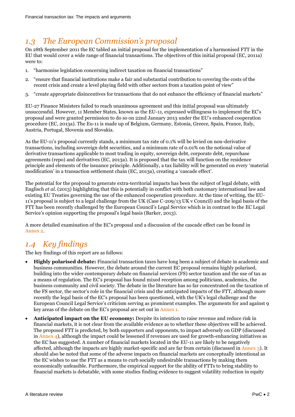# *1.3 The European Commission's proposal*

On 28th September 2011 the EC tabled an initial proposal for the implementation of a harmonised FTT in the EU that would cover a wide range of financial transactions. The objectives of this initial proposal (EC, 2011a) were to:

- 1. "harmonise legislation concerning indirect taxation on financial transactions"
- 2. "ensure that financial institutions make a fair and substantial contribution to covering the costs of the recent crisis and create a level playing field with other sectors from a taxation point of view"
- 3. "create appropriate disincentives for transactions that do not enhance the efficiency of financial markets"

EU-27 Finance Ministers failed to reach unanimous agreement and this initial proposal was ultimately unsuccessful. However, 11 Member States, known as the EU-11, expressed willingness to implement the EC's proposal and were granted permission to do so on 22nd January 2013 under the EU's enhanced cooperation procedure (EC, 2013a). The Eu-11 is made up of Belgium, Germany, Estonia, Greece, Spain, France, Italy, Austria, Portugal, Slovenia and Slovakia.

As the EU-11's proposal currently stands, a minimum tax rate of 0.1% will be levied on non-derivative transactions, including sovereign debt securities, and a minimum rate of 0.01% on the notional value of derivative transactions applicable to most trading in equity, sovereign debt, corporate debt, repurchase agreements (repo) and derivatives (EC, 2013a). It is proposed that the tax will function on the residence principle and elements of the issuance principle. Additionally, a tax liability will be generated on every 'material modification' in a transaction settlement chain (EC, 2013a), creating a 'cascade effect'.

The potential for the proposal to generate extra-territorial impacts has been the subject of legal debate, with Englisch *et al*. (2013) highlighting that this is potentially in conflict with both customary international law and existing EU Treaties governing the use of the enhanced cooperation procedure. At the time of writing, the EU-11's proposal is subject to a legal challenge from the UK (Case C-209/13 UK v Council) and the legal basis of the FTT has been recently challenged by the European Council's Legal Service which is in contrast to the EC Legal Service's opinion supporting the proposal's legal basis (Barker, 2013).

A more detailed examination of the EC's proposal and a discussion of the cascade effect can be found in Annex 2.

## *1.4 Key findings*

The key findings of this report are as follows:

- **Highly polarised debate:** Financial transaction taxes have long been a subject of debate in academic and business communities. However, the debate around the current EC proposal remains highly polarised, building into the wider contemporary debate on financial services (FS) sector taxation and the use of tax as a means of regulation. The EC's proposal has found mixed reception among politicians, academics, the business community and civil society. The debate in the literature has so far concentrated on the taxation of the FS sector, the sector's role in the financial crisis and the anticipated impacts of the FTT, although more recently the legal basis of the EC's proposal has been questioned, with the UK's legal challenge and the European Council Legal Service's criticism serving as prominent examples. The arguments for and against 9 key areas of the debate on the EC's proposal are set out in Annex 1.
- **Anticipated impact on the EU economy:** Despite its intention to raise revenue and reduce risk in financial markets, it is not clear from the available evidence as to whether these objectives will be achieved. The proposed FTT is predicted, by both supporters and opponents, to impact adversely on GDP (discussed in Annex 4), although the impact could be lessened if revenues are used for growth-enhancing initiatives as the EC has suggested. A number of financial markets located in the EU-11 are likely to be negatively affected, although the impacts are highly market-specific and are far from certain (discussed in Annex 3). It should also be noted that some of the adverse impacts on financial markets are conceptually intentional as the EC wishes to use the FTT as a means to curb socially undesirable transactions by making them economically unfeasible. Furthermore, the empirical support for the ability of FTTs to bring stability to financial markets is debatable, with some studies finding evidence to suggest volatility reduction in equity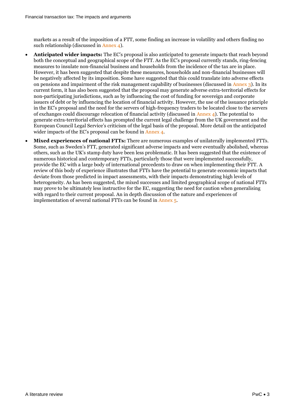markets as a result of the imposition of a FTT, some finding an increase in volatility and others finding no such relationship (discussed in Annex 4).

- **Anticipated wider impacts:** The EC's proposal is also anticipated to generate impacts that reach beyond both the conceptual and geographical scope of the FTT. As the EC's proposal currently stands, ring-fencing measures to insulate non-financial business and households from the incidence of the tax are in place. However, it has been suggested that despite these measures, households and non-financial businesses will be negatively affected by its imposition. Some have suggested that this could translate into adverse effects on pensions and impairment of the risk management capability of businesses (discussed in Annex 3). In its current form, it has also been suggested that the proposal may generate adverse extra-territorial effects for non-participating jurisdictions, such as by influencing the cost of funding for sovereign and corporate issuers of debt or by influencing the location of financial activity. However, the use of the issuance principle in the EC's proposal and the need for the servers of high-frequency traders to be located close to the servers of exchanges could discourage relocation of financial activity (discussed in Annex 4). The potential to generate extra-territorial effects has prompted the current legal challenge from the UK government and the European Council Legal Service's criticism of the legal basis of the proposal. More detail on the anticipated wider impacts of the EC's proposal can be found in Annex 4.
- **Mixed experiences of national FTTs:** There are numerous examples of unilaterally implemented FTTs. Some, such as Sweden's FTT, generated significant adverse impacts and were eventually abolished, whereas others, such as the UK's stamp duty have been less problematic. It has been suggested that the existence of numerous historical and contemporary FTTs, particularly those that were implemented successfully, provide the EC with a large body of international precedents to draw on when implementing their FTT. A review of this body of experience illustrates that FTTs have the potential to generate economic impacts that deviate from those predicted in impact assessments, with their impacts demonstrating high levels of heterogeneity. As has been suggested, the mixed successes and limited geographical scope of national FTTs may prove to be ultimately less instructive for the EC, suggesting the need for caution when generalising with regard to their current proposal. An in depth discussion of the nature and experiences of implementation of several national FTTs can be found in Annex 5.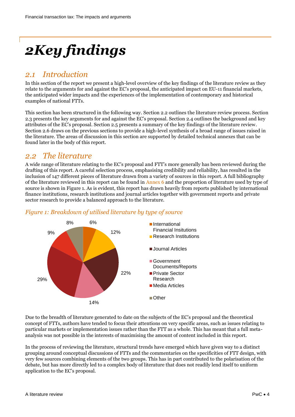# <span id="page-5-0"></span>*2Key findings*

# *2.1 Introduction*

In this section of the report we present a high-level overview of the key findings of the literature review as they relate to the arguments for and against the EC's proposal, the anticipated impact on EU-11 financial markets, the anticipated wider impacts and the experiences of the implementation of contemporary and historical examples of national FTTs.

This section has been structured in the following way. Section 2.2 outlines the literature review process. Section 2.3 presents the key arguments for and against the EC's proposal. Section 2.4 outlines the background and key attributes of the EC's proposal. Section 2.5 presents a summary of the key findings of the literature review. Section 2.6 draws on the previous sections to provide a high-level synthesis of a broad range of issues raised in the literature. The areas of discussion in this section are supported by detailed technical annexes that can be found later in the body of this report.

#### *2.2 The literature*

A wide range of literature relating to the EC's proposal and FTT's more generally has been reviewed during the drafting of this report. A careful selection process, emphasising credibility and reliability, has resulted in the inclusion of 147 different pieces of literature drawn from a variety of sources in this report. A full bibliography of the literature reviewed in this report can be found in Annex 6 and the proportion of literature used by type of source is shown in Figure 1. As is evident, this report has drawn heavily from reports published by international finance institutions, research institutions and journal articles together with government reports and private sector research to provide a balanced approach to the literature.



#### *Figure 1: Breakdown of utilised literature by type of source*

Due to the breadth of literature generated to date on the subjects of the EC's proposal and the theoretical concept of FTTs, authors have tended to focus their attentions on very specific areas, such as issues relating to particular markets or implementation issues rather than the FTT as a whole. This has meant that a full metaanalysis was not possible in the interests of maximising the amount of content included in this report.

In the process of reviewing the literature, structural trends have emerged which have given way to a distinct grouping around conceptual discussions of FTTs and the commentaries on the specificities of FTT design, with very few sources combining elements of the two groups. This has in part contributed to the polarisation of the debate, but has more directly led to a complex body of literature that does not readily lend itself to uniform application to the EC's proposal.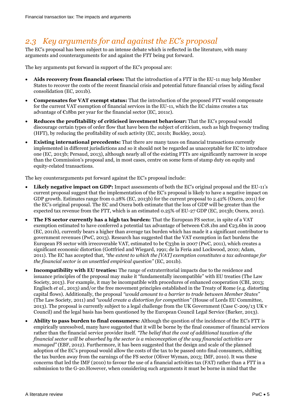# *2.3 Key arguments for and against the EC's proposal*

The EC's proposal has been subject to an intense debate which is reflected in the literature, with many arguments and counterarguments for and against the FTT being put forward.

The key arguments put forward in support of the EC's proposal are:

- **Aids recovery from financial crises:** That the introduction of a FTT in the EU-11 may help Member States to recover the costs of the recent financial crisis and potential future financial crises by aiding fiscal consolidation (EC, 2011b).
- **Compensates for VAT exempt status:** That the introduction of the proposed FTT would compensate for the current VAT exemption of financial services in the EU-11, which the EC claims creates a tax advantage of  $E18$ bn per year for the financial sector (EC, 2011c).
- **Reduces the profitability of criticised investment behaviour:** That the EC's proposal would discourage certain types of order flow that have been the subject of criticism, such as high frequency trading (HFT), by reducing the profitability of such activity (EC, 2011b; Buckley, 2012).
- **Existing international precedents:** That there are many taxes on financial transactions currently implemented in different jurisdictions and so it should not be regarded as unacceptable for EC to introduce one (EC, 2013b; Persaud, 2013), although nearly all of the existing FTTs are significantly narrower in scope than the Commission's proposal and, in most cases, centre on some form of stamp duty on equity and equity-related transactions.

The key counterarguments put forward against the EC's proposal include:

- **Likely negative impact on GDP:** Impact assessments of both the EC's original proposal and the EU-11's current proposal suggest that the implementation of the EC's proposal is likely to have a negative impact on GDP growth. Estimates range from 0.28% (EC, 2013b) for the current proposal to 2.42% (Oxera, 2011) for the EC's original proposal. The EC and Oxera both estimate that the loss of GDP will be greater than the expected tax revenue from the FTT, which is an estimated 0.25% of EU-27 GDP (EC, 2013b; Oxera, 2012).
- **The FS sector currently has a high tax burden:** That the European FS sector, in spite of a VAT exemption estimated to have conferred a potential tax advantage of between €18.1bn and €23.6bn in 2009 (EC, 2011b), currently bears a higher than average tax burden which has made it a significant contributor to government revenues (PwC, 2013). Research has suggested that the VAT exemption in fact burdens the European FS sector with irrecoverable VAT, estimated to be  $\epsilon_{33}$ bn in 2007 (PwC, 2011), which creates a significant economic distortion (Gottfried and Wiegard, 1991; de la Feria and Lockwood, 2010; Adam, 2011). The EC has accepted that, *"the extent to which the [VAT] exemption constitutes a tax advantage for the financial sector is an unsettled empirical question"* (EC, 2011b).
- **Incompatibility with EU treaties:** The range of extraterritorial impacts due to the residence and issuance principles of the proposal may make it "fundamentally incompatible" with EU treaties (The Law Society, 2013). For example, it may be incompatible with procedures of enhanced cooperation (CBI, 2013; Englisch *et al*., 2013) and/or the free movement principles established in the Treaty of Rome (e.g. distorting capital flows). Additionally, the proposal *"would amount to a barrier to trade between Member States"*  (The Law Society, 2011) and *"would create a distortion for competition"* (House of Lords EU Committee, 2013). The proposal is currently subject to a legal challenge from the UK Government (Case C-209/13 UK v Council) and the legal basis has been questioned by the European Council Legal Service (Barker, 2013).
- **Ability to pass burden to final consumers:** Although the question of the incidence of the EC's FTT is empirically unresolved, many have suggested that it will be borne by the final consumer of financial services rather than the financial service provider itself. *"The belief that the cost of additional taxation of the financial sector will be absorbed by the sector is a misconception of the way financial activities are managed"* (EBF, 2012). Furthermore, it has been suggested that the design and scale of the planned adoption of the EC's proposal would allow the costs of the tax to be passed onto final consumers, shifting the tax burden away from the earnings of the FS sector (Oliver Wyman, 2013; IMF, 2010). It was these concerns that led the IMF (2010) to favour the use of a financial activities tax (FAT) rather than a FTT in a submission to the G-20.However, when considering such arguments it must be borne in mind that the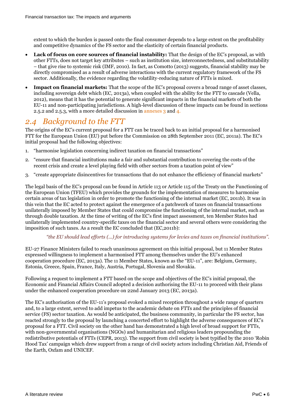extent to which the burden is passed onto the final consumer depends to a large extent on the profitability and competitive dynamics of the FS sector and the elasticity of certain financial products.

- **Lack of focus on core sources of financial instability:** That the design of the EC's proposal, as with other FTTs, does not target key attributes – such as institution size, interconnectedness, and substitutability – that give rise to systemic risk (IMF, 2010). In fact, as Comotto (2013) suggests, financial stability may be directly compromised as a result of adverse interactions with the current regulatory framework of the FS sector. Additionally, the evidence regarding the volatility-reducing nature of FTTs is mixed.
- **Impact on financial markets:** That the scope of the EC's proposal covers a broad range of asset classes, including sovereign debt which (EC, 2013a), when coupled with the ability for the FTT to cascade (Vella, 2012), means that it has the potential to generate significant impacts in the financial markets of both the EU-11 and non-participating jurisdictions. A high-level discussion of these impacts can be found in sections 2.5.2 and 2.5.3, with a more detailed discussion in annexes 3 and 4.

## *2.4 Background to the FTT*

The origins of the EC's current proposal for a FTT can be traced back to an initial proposal for a harmonised FTT for the European Union (EU) put before the Commission on 28th September 2011 (EC, 2011a). The EC's initial proposal had the following objectives:

- 1. "harmonise legislation concerning indirect taxation on financial transactions"
- 2. "ensure that financial institutions make a fair and substantial contribution to covering the costs of the recent crisis and create a level playing field with other sectors from a taxation point of view"
- 3. "create appropriate disincentives for transactions that do not enhance the efficiency of financial markets"

The legal basis of the EC's proposal can be found in Article 113 or Article 115 of the Treaty on the Functioning of the European Union (TFEU) which provides the grounds for the implementation of measures to harmonise certain areas of tax legislation in order to promote the functioning of the internal market (EC, 2011b). It was in this vein that the EC acted to protect against the emergence of a patchwork of taxes on financial transactions unilaterally imposed by Member States that could compromise the functioning of the internal market, such as through double taxation. At the time of writing of the EC's first impact assessment, ten Member States had unilaterally implemented country-specific taxes on the financial sector and several others were considering the imposition of such taxes. As a result the EC concluded that (EC,2011b):

#### *"the EU should lead efforts (...) for introducing systems for levies and taxes on financial institutions".*

EU-27 Finance Ministers failed to reach unanimous agreement on this initial proposal, but 11 Member States expressed willingness to implement a harmonised FTT among themselves under the EU's enhanced cooperation procedure (EC, 2013a). The 11 Member States, known as the "EU-11", are: Belgium, Germany, Estonia, Greece, Spain, France, Italy, Austria, Portugal, Slovenia and Slovakia.

Following a request to implement a FTT based on the scope and objectives of the EC's initial proposal, the Economic and Financial Affairs Council adopted a decision authorising the EU-11 to proceed with their plans under the enhanced cooperation procedure on 22nd January 2013 (EC, 2013a).

The EC's authorisation of the EU-11's proposal evoked a mixed reception throughout a wide range of quarters and, to a large extent, served to add impetus to the academic debate on FTTs and the principles of financial service (FS) sector taxation. As would be anticipated, the business community, in particular the FS sector, has reacted strongly to the proposal by launching a concerted effort to highlight the adverse consequences of EC's proposal for a FTT. Civil society on the other hand has demonstrated a high level of broad support for FTTs, with non-governmental organisations (NGOs) and humanitarian and religious leaders propounding the redistributive potentials of FTTs (CEPR, 2013). The support from civil society is best typified by the 2010 'Robin Hood Tax' campaign which drew support from a range of civil society actors including Christian Aid, Friends of the Earth, Oxfam and UNICEF.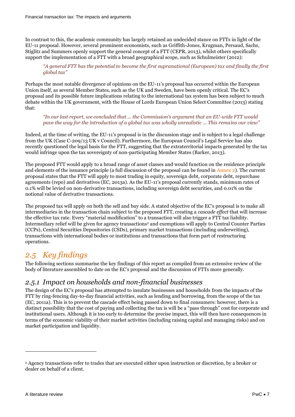In contrast to this, the academic community has largely retained an undecided stance on FTTs in light of the EU-11 proposal. However, several prominent economists, such as Griffith-Jones, Krugman, Persaud, Sachs, Stiglitz and Summers openly support the general concept of a FTT (CEPR, 2013), whilst others specifically support the implementation of a FTT with a broad geographical scope, such as Schulmeister (2012):

*"A general FTT has the potential to become the first supranational (European) tax and finally the first global tax"*

Perhaps the most notable divergence of opinions on the EU-11's proposal has occurred within the European Union itself, as several Member States, such as the UK and Sweden, have been openly critical. The EC's proposal and its possible future implications relating to the international tax system has been subject to much debate within the UK government, with the House of Lords European Union Select Committee (2013) stating that:

*"In our last report, we concluded that ... the Commission's argument that an EU-wide FTT would pave the way for the introduction of a global tax was wholly unrealistic ... This remains our view"*

Indeed, at the time of writing, the EU-11's proposal is in the discussion stage and is subject to a legal challenge from the UK (Case C-209/13 UK v Council). Furthermore, the European Council's Legal Service has also recently questioned the legal basis for the FTT, suggesting that the extraterritorial impacts generated by the tax would infringe upon the tax sovereignty of non-participating Member States (Barker, 2013).

The proposed FTT would apply to a broad range of asset classes and would function on the residence principle and elements of the issuance principle (a full discussion of the proposal can be found in Annex 2). The current proposal states that the FTT will apply to most trading in equity, sovereign debt, corporate debt, repurchase agreements (repo) and derivatives (EC, 2013a). As the EU-11's proposal currently stands, minimum rates of 0.1% will be levied on non-derivative transactions, including sovereign debt securities, and 0.01% on the notional value of derivative transactions.

The proposed tax will apply on both the sell and buy side. A stated objective of the EC's proposal is to make all intermediaries in the transaction chain subject to the proposed FTT, creating a *cascade effect* that will increase the effective tax rate. Every "material modification" to a transaction will also trigger a FTT tax liability. Intermediary relief will be given for agency transactions<sup>2</sup> and exemptions will apply to Central Counter Parties (CCPs), Central Securities Depositories (CSDs), primary market transactions (including underwriting), transactions with international bodies or institutions and transactions that form part of restructuring operations.

# *2.5 Key findings*

The following sections summarise the key findings of this report as compiled from an extensive review of the body of literature assembled to date on the EC's proposal and the discussion of FTTs more generally.

#### *2.5.1 Impact on households and non-financial businesses*

The design of the EC's proposal has attempted to insulate businesses and households from the impacts of the FTT by ring-fencing day-to-day financial activities, such as lending and borrowing, from the scope of the tax (EC, 2011a). This is to prevent the cascade effect being passed down to final consumers: however, there is a distinct possibility that the cost of paying and collecting the tax is will be a "pass through" cost for corporate and institutional users. Although it is too early to determine the precise impact, this will then have consequences in terms of the economic viability of their market activities (including raising capital and managing risks) and on market participation and liquidity.

<sup>2</sup> Agency transactions refer to trades that are executed either upon instruction or discretion, by a broker or dealer on behalf of a client.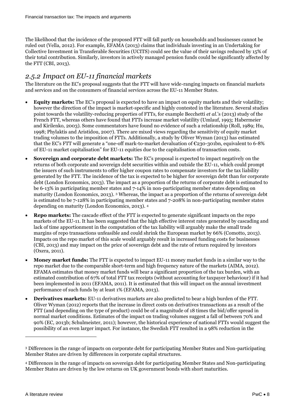The likelihood that the incidence of the proposed FTT will fall partly on households and businesses cannot be ruled out (Vella, 2012). For example, EFAMA (2013) claims that individuals investing in an Undertaking for Collective Investment in Transferable Securities (UCITS) could see the value of their savings reduced by 15% of their total contribution. Similarly, investors in actively managed pension funds could be significantly affected by the FTT (CBI, 2013).

### *2.5.2 Impact on EU-11 financial markets*

The literature on the EC's proposal suggests that the FTT will have wide-ranging impacts on financial markets and services and on the consumers of financial services across the EU-11 Member States.

- **Equity markets:** The EC's proposal is expected to have an impact on equity markets and their volatility; however the direction of the impact is market-specific and highly contested in the literature. Several studies point towards the volatility-reducing properties of FTTs, for example Becchetti *et al*.'s (2013) study of the French FTT, whereas others have found that FTTs increase market volatility (Umlauf, 1993; Habermeier and Kirilenko, 2003). Some commentators have found no evidence of such a relationship (Roll, 1989; Hu, 1998; Phylaktis and Aristidou, 2007). There are mixed views regarding the sensitivity of equity market trading volumes to the imposition of FTTs. Additionally, a study by Oliver Wyman (2013) has estimated that the EC's FTT will generate a "one-off mark-to-market devaluation of €230-301bn, equivalent to 6-8% of EU-11 market capitalisation" for EU-11 equities due to the capitalisation of transaction costs.
- **Sovereign and corporate debt markets:** The EC's proposal is expected to impact negatively on the returns of both corporate and sovereign debt securities within and outside the EU-11, which could prompt the issuers of such instruments to offer higher coupon rates to compensate investors for the tax liability generated by the FTT. The incidence of the tax is expected to be higher for sovereign debt than for corporate debt (London Economics, 2013). The impact as a proportion of the returns of corporate debt is estimated to be 6-13% in participating member states and 7-14% in non-participating member states depending on maturity (London Economics, 2013). <sup>3</sup> Whereas, the impact as a proportion of the returns of sovereign debt is estimated to be 7-128% in participating member states and 7-208% in non-participating member states depending on maturity (London Economics, 2013). <sup>4</sup>
- **Repo markets:** The cascade effect of the FTT is expected to generate significant impacts on the repo markets of the EU-11. It has been suggested that the high effective interest rates generated by cascading and lack of time apportionment in the computation of the tax liability will arguably make the small trade margins of repo transactions unfeasible and could shrink the European market by 66% (Comotto, 2013). Impacts on the repo market of this scale would arguably result in increased funding costs for businesses (CBI, 2013) and may impact on the price of sovereign debt and the rate of return required by investors (Oxera, 2011).
- **Money market funds:** The FTT is expected to impact EU-11 money market funds in a similar way to the repo market due to the comparable short-term and high frequency nature of the markets (AIMA, 2012). EFAMA estimates that money market funds will bear a significant proportion of the tax burden, with an estimated contribution of 67% of total FTT tax receipts (without accounting for taxpayer behaviour) if it had been implemented in 2011 (EFAMA, 2011). It is estimated that this will impact on the annual investment performance of such funds by at least 1% (EFAMA, 2013).
- **Derivatives markets:** EU-11 derivatives markets are also predicted to bear a high burden of the FTT. Oliver Wyman (2012) reports that the increase in direct costs on derivatives transactions as a result of the FTT (and depending on the type of product) could be of a magnitude of 18 times the bid/offer spread in normal market conditions. Estimates of the impact on trading volumes suggest a fall of between 70% and 90% (EC, 2013b; Schulmeister, 2011); however, the historical experience of national FTTs would suggest the possibility of an even larger impact. For instance, the Swedish FTT resulted in a 98% reduction in the

<sup>3</sup> Differences in the range of impacts on corporate debt for participating Member States and Non-participating Member States are driven by differences in corporate capital structures.

<sup>4</sup> Differences in the range of impacts on sovereign debt for participating Member States and Non-participating Member States are driven by the low returns on UK government bonds with short maturities.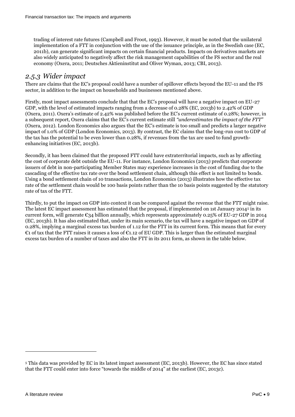trading of interest rate futures (Campbell and Froot, 1993). However, it must be noted that the unilateral implementation of a FTT in conjunction with the use of the issuance principle, as in the Swedish case (EC, 2011b), can generate significant impacts on certain financial products. Impacts on derivatives markets are also widely anticipated to negatively affect the risk management capabilities of the FS sector and the real economy (Oxera, 2011; Deutsches Aktieninstitut and Oliver Wyman, 2013; CBI, 2013).

#### *2.5.3 Wider impact*

There are claims that the EC's proposal could have a number of spillover effects beyond the EU-11 and the FS sector, in addition to the impact on households and businesses mentioned above.

Firstly, most impact assessments conclude that that the EC's proposal will have a negative impact on EU-27 GDP, with the level of estimated impacts ranging from a decrease of 0.28% (EC, 2013b) to 2.42% of GDP (Oxera, 2011). Oxera's estimate of 2.42% was published before the EC's current estimate of 0.28%; however, in a subsequent report, Oxera claims that the EC's current estimate still *"underestimates the impact of the FTT"* (Oxera, 2012). London Economics also argues that the EC's estimate is too small and predicts a larger negative impact of 1.0% of GDP (London Economics, 2013). By contrast, the EC claims that the long-run cost to GDP of the tax has the potential to be even lower than 0.28%, if revenues from the tax are used to fund growthenhancing initiatives (EC, 2013b).

Secondly, it has been claimed that the proposed FTT could have extraterritorial impacts, such as by affecting the cost of corporate debt outside the EU-11. For instance, London Economics (2013) predicts that corporate issuers of debt in non-participating Member States may experience increases in the cost of funding due to the cascading of the effective tax rate over the bond settlement chain, although this effect is not limited to bonds. Using a bond settlement chain of 10 transactions, London Economics (2013) illustrates how the effective tax rate of the settlement chain would be 100 basis points rather than the 10 basis points suggested by the statutory rate of tax of the FTT.

Thirdly, to put the impact on GDP into context it can be compared against the revenue that the FTT might raise. The latest EC impact assessment has estimated that the proposal, if implemented on 1st January 2014<sup>5</sup> in its current form, will generate  $\epsilon_{34}$  billion annually, which represents approximately 0.25% of EU-27 GDP in 2014 (EC, 2013b). It has also estimated that, under its main scenario, the tax will have a negative impact on GDP of 0.28%, implying a marginal excess tax burden of 1.12 for the FTT in its current form. This means that for every  $\epsilon_1$  of tax that the FTT raises it causes a loss of  $\epsilon_{1.12}$  of EU GDP. This is larger than the estimated marginal excess tax burden of a number of taxes and also the FTT in its 2011 form, as shown in the table below.

<sup>5</sup> This data was provided by EC in its latest impact assessment (EC, 2013b). However, the EC has since stated that the FTT could enter into force "towards the middle of 2014" at the earliest (EC, 2013c).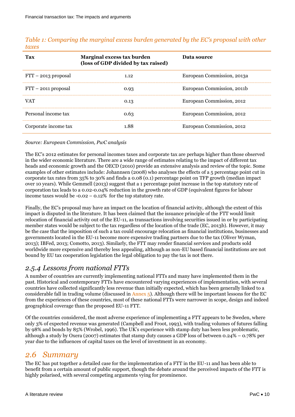| Tax                   | Marginal excess tax burden<br>(loss of GDP divided by tax raised) | Data source                |
|-----------------------|-------------------------------------------------------------------|----------------------------|
| $FTT - 2013$ proposal | 1.12                                                              | European Commission, 2013a |
| $FTT - 2011$ proposal | 0.93                                                              | European Commission, 2011b |
| <b>VAT</b>            | 0.13                                                              | European Commission, 2012  |
| Personal income tax   | 0.63                                                              | European Commission, 2012  |
| Corporate income tax  | 1.88                                                              | European Commission, 2012  |

#### *Table 1: Comparing the marginal excess burden generated by the EC's proposal with other taxes*

#### *Source: European Commission, PwC analysis*

The EC's 2012 estimates for personal incomes taxes and corporate tax are perhaps higher than those observed in the wider economic literature. There are a wide range of estimates relating to the impact of different tax heads and economic growth and the OECD (2010) provide an extensive analysis and review of the topic. Some examples of other estimates include: Johannsen (2008) who analyses the effects of a 5 percentage point cut in corporate tax rates from 35% to 30% and finds a 0.08 (0.1) percentage point on TFP growth (median impact over 10 years). While Gemmell (2013) suggest that a 1 percentage point increase in the top statutory rate of corporation tax leads to a 0.02-0.04% reduction in the growth rate of GDP (equivalent figures for labour income taxes would be -0.02 – 0.12% for the top statutory rate.

Finally, the EC's proposal may have an impact on the location of financial activity, although the extent of this impact is disputed in the literature. It has been claimed that the issuance principle of the FTT would limit relocation of financial activity out of the EU-11, as transactions involving securities issued in or by participating member states would be subject to the tax regardless of the location of the trade (EC, 2013b). However, it may be the case that the imposition of such a tax could encourage relocation as financial institutions, businesses and governments located in the EU-11 become more expensive trading partners due to the tax (Oliver Wyman, 2013); IBFed, 2013; Comotto, 2013). Similarly, the FTT may render financial services and products sold worldwide more expensive and thereby less appealing, although as non-EU based financial institutions are not bound by EU tax cooperation legislation the legal obligation to pay the tax is not there.

### *2.5.4 Lessons from national FTTs*

A number of countries are currently implementing national FTTs and many have implemented them in the past. Historical and contemporary FTTs have encountered varying experiences of implementation, with several countries have collected significantly less revenue than initially expected, which has been generally linked to a considerable fall in trading volume (discussed in Annex 5). Although there will be important lessons for the EC from the experiences of these countries, most of these national FTTs were narrower in scope, design and indeed geographical coverage than the proposed EU-11 FTT.

Of the countries considered, the most adverse experience of implementing a FTT appears to be Sweden, where only 3% of expected revenue was generated (Campbell and Froot, 1993), with trading volumes of futures falling by 98% and bonds by 85% (Wrobel, 1996). The UK's experience with stamp duty has been less problematic, although a study by Oxera (2007) estimates that stamp duty causes a GDP loss of between 0.24% – 0.78% per year due to the influences of capital taxes on the level of investment in an economy.

### *2.6 Summary*

The EC has put together a detailed case for the implementation of a FTT in the EU-11 and has been able to benefit from a certain amount of public support, though the debate around the perceived impacts of the FTT is highly polarised, with several competing arguments vying for prominence.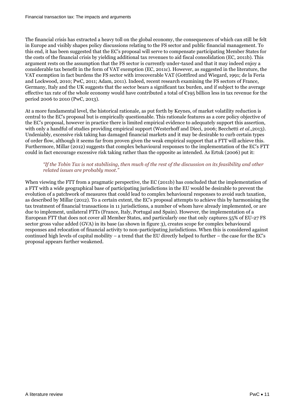The financial crisis has extracted a heavy toll on the global economy, the consequences of which can still be felt in Europe and visibly shapes policy discussions relating to the FS sector and public financial management. To this end, it has been suggested that the EC's proposal will serve to compensate participating Member States for the costs of the financial crisis by yielding additional tax revenues to aid fiscal consolidation (EC, 2011b). This argument rests on the assumption that the FS sector is currently under-taxed and that it may indeed enjoy a considerable tax benefit in the form of VAT exemption (EC, 2011c). However, as suggested in the literature, the VAT exemption in fact burdens the FS sector with irrecoverable VAT (Gottfired and Wiegard, 1991; de la Feria and Lockwood, 2010; PwC, 2011; Adam, 2011). Indeed, recent research examining the FS sectors of France, Germany, Italy and the UK suggests that the sector bears a significant tax burden, and if subject to the average effective tax rate of the whole economy would have contributed a total of  $\epsilon$ 195 billion less in tax revenue for the period 2006 to 2010 (PwC, 2013).

At a more fundamental level, the historical rationale, as put forth by Keynes, of market volatility reduction is central to the EC's proposal but is empirically questionable. This rationale features as a core policy objective of the EC's proposal, however in practice there is limited empirical evidence to adequately support this assertion, with only a handful of studies providing empirical support (Westerhoff and Dieci, 2006; Becchetti *et al*.,2013). Undeniably, excessive risk taking has damaged financial markets and it may be desirable to curb certain types of order flow, although it seems far from proven given the weak empirical support that a FTT will achieve this. Furthermore, Millar (2012) suggests that complex behavioural responses to the implementation of the EC's FTT could in fact encourage excessive risk taking rather than the opposite as intended. As Ertuk (2006) put it:

#### *"If the Tobin Tax is not stabilising, then much of the rest of the discussion on its feasibility and other related issues are probably moot."*

When viewing the FTT from a pragmatic perspective, the EC (2011b) has concluded that the implementation of a FTT with a wide geographical base of participating jurisdictions in the EU would be desirable to prevent the evolution of a patchwork of measures that could lead to complex behavioural responses to avoid such taxation, as described by Millar (2012). To a certain extent, the EC's proposal attempts to achieve this by harmonising the tax treatment of financial transactions in 11 jurisdictions, a number of whom have already implemented, or are due to implement, unilateral FTTs (France, Italy, Portugal and Spain). However, the implementation of a European FTT that does not cover all Member States, and particularly one that only captures 55% of EU-27 FS sector gross value added (GVA) in its base (as shown in figure 3), creates scope for complex behavioural responses and relocation of financial activity to non-participating jurisdictions. When this is considered against continued high levels of capital mobility – a trend that the EU directly helped to further – the case for the EC's proposal appears further weakened.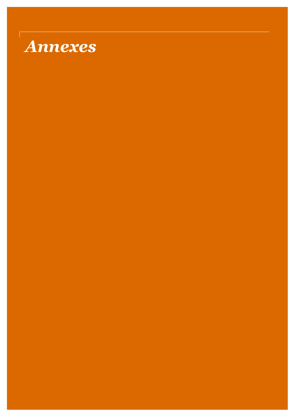<span id="page-13-0"></span>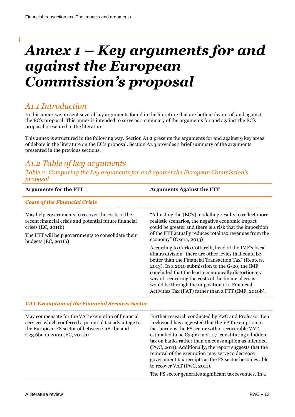# <span id="page-14-0"></span>*Annex 1 – Key arguments for and against the European Commission's proposal*

## *A1.1 Introduction*

In this annex we present several key arguments found in the literature that are both in favour of, and against, the EC's proposal. This annex is intended to serve as a summary of the arguments for and against the EC's proposal presented in the literature.

This annex is structured in the following way. Section A1.2 presents the arguments for and against 9 key areas of debate in the literature on the EC's proposal. Section A1.3 provides a brief summary of the arguments presented in the previous sections.

# *A1.2 Table of key arguments*

*Table 2: Comparing the key arguments for and against the European Commission's proposal*

| <b>Arguments for the FTT</b>                                                                                                                                                                                  | <b>Arguments Against the FTT</b>                                                                                                                                                                                                                                                                                                                                                                                                                      |  |
|---------------------------------------------------------------------------------------------------------------------------------------------------------------------------------------------------------------|-------------------------------------------------------------------------------------------------------------------------------------------------------------------------------------------------------------------------------------------------------------------------------------------------------------------------------------------------------------------------------------------------------------------------------------------------------|--|
| <b>Costs of the Financial Crisis</b>                                                                                                                                                                          |                                                                                                                                                                                                                                                                                                                                                                                                                                                       |  |
| May help governments to recover the costs of the<br>recent financial crisis and potential future financial<br>crises (EC, 2011b)<br>The FTT will help governments to consolidate their<br>budgets (EC, 2011b) | "Adjusting the [EC's] modelling results to reflect more<br>realistic scenarios, the negative economic impact<br>could be greater and there is a risk that the imposition<br>of the FTT actually reduces total tax revenues from the<br>economy" (Oxera, 2013)                                                                                                                                                                                         |  |
|                                                                                                                                                                                                               | According to Carlo Cottarelli, head of the IMF's fiscal<br>affairs division "there are other levies that could be<br>better than the Financial Transaction Tax" (Reuters,<br>2013). In a 2010 submission to the G-20, the IMF<br>concluded that the least economically distortionary<br>way of recovering the costs of the financial crisis<br>would be through the imposition of a Financial<br>Activities Tax (FAT) rather than a FTT (IMF, 2010b). |  |
| VAT Exemption of the Financial Services Sector                                                                                                                                                                |                                                                                                                                                                                                                                                                                                                                                                                                                                                       |  |
| May compensate for the VAT exemption of financial<br>services which conferred a potential tax advantage to<br>the European FS sector of between €18.1bn and                                                   | Further research conducted by PwC and Professor Ben<br>Lockwood has suggested that the VAT exemption in<br>fact burdens the FS sector with irrecoverable VAT,                                                                                                                                                                                                                                                                                         |  |

€23.6bn in 2009 (EC, 2011b)

estimated to be  $\epsilon$ 33bn in 2007, constituting a hidden tax on banks rather than on consumption as intended (PwC, 2011). Additionally, the report suggests that the removal of the exemption may serve to decrease government tax receipts as the FS sector becomes able

The FS sector generates significant tax revenues. In a

to recover VAT (PwC, 2011).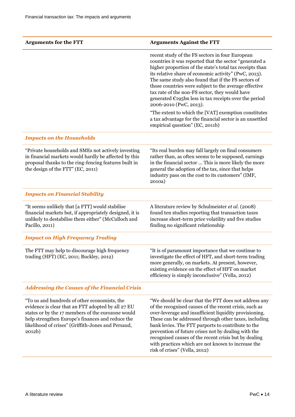| <b>Arguments for the FTT</b>                                                                                                                                                                                                                                                | <b>Arguments Against the FTT</b>                                                                                                                                                                                                                                                                                                                                                                                                                                                                |
|-----------------------------------------------------------------------------------------------------------------------------------------------------------------------------------------------------------------------------------------------------------------------------|-------------------------------------------------------------------------------------------------------------------------------------------------------------------------------------------------------------------------------------------------------------------------------------------------------------------------------------------------------------------------------------------------------------------------------------------------------------------------------------------------|
|                                                                                                                                                                                                                                                                             | recent study of the FS sectors in four European<br>countries it was reported that the sector "generated a<br>higher proportion of the state's total tax receipts than<br>its relative share of economic activity" (PwC, 2013).<br>The same study also found that if the FS sectors of<br>those countries were subject to the average effective<br>tax rate of the non-FS sector, they would have<br>generated $\epsilon$ 195bn less in tax receipts over the period<br>2006-2010 (PwC, 2013).   |
|                                                                                                                                                                                                                                                                             | "The extent to which the [VAT] exemption constitutes<br>a tax advantage for the financial sector is an unsettled<br>empirical question" (EC, 2011b)                                                                                                                                                                                                                                                                                                                                             |
| <b>Impacts on the Households</b>                                                                                                                                                                                                                                            |                                                                                                                                                                                                                                                                                                                                                                                                                                                                                                 |
| "Private households and SMEs not actively investing<br>in financial markets would hardly be affected by this<br>proposal thanks to the ring-fencing features built in<br>the design of the FTT" (EC, 2011)                                                                  | "Its real burden may fall largely on final consumers<br>rather than, as often seems to be supposed, earnings<br>in the financial sector  This is more likely the more<br>general the adoption of the tax, since that helps<br>industry pass on the cost to its customers" (IMF,<br>2010a)                                                                                                                                                                                                       |
| <b>Impacts on Financial Stability</b>                                                                                                                                                                                                                                       |                                                                                                                                                                                                                                                                                                                                                                                                                                                                                                 |
| "It seems unlikely that [a FTT] would stabilise<br>financial markets but, if appropriately designed, it is<br>unlikely to destabilise them either" (McCulloch and<br>Pacillo, 2011)                                                                                         | A literature review by Schulmeister et al. (2008)<br>found ten studies reporting that transaction taxes<br>increase short-term price volatility and five studies<br>finding no significant relationship                                                                                                                                                                                                                                                                                         |
| <b>Impact on High Frequency Trading</b>                                                                                                                                                                                                                                     |                                                                                                                                                                                                                                                                                                                                                                                                                                                                                                 |
| The FTT may help to discourage high frequency<br>trading (HFT) (EC, 2011; Buckley, 2012)                                                                                                                                                                                    | "It is of paramount importance that we continue to<br>investigate the effect of HFT, and short-term trading<br>more generally, on markets. At present, however,<br>existing evidence on the effect of HFT on market<br>efficiency is simply inconclusive" (Vella, 2012)                                                                                                                                                                                                                         |
| <b>Addressing the Causes of the Financial Crisis</b>                                                                                                                                                                                                                        |                                                                                                                                                                                                                                                                                                                                                                                                                                                                                                 |
| "To us and hundreds of other economists, the<br>evidence is clear that an FTT adopted by all 27 EU<br>states or by the 17 members of the eurozone would<br>help strengthen Europe's finances and reduce the<br>likelihood of crises" (Griffith-Jones and Persaud,<br>2012b) | "We should be clear that the FTT does not address any<br>of the recognised causes of the recent crisis, such as<br>over-leverage and insufficient liquidity provisioning.<br>These can be addressed through other taxes, including<br>bank levies. The FTT purports to contribute to the<br>prevention of future crises not by dealing with the<br>recognised causes of the recent crisis but by dealing<br>with practices which are not known to increase the<br>risk of crises" (Vella, 2012) |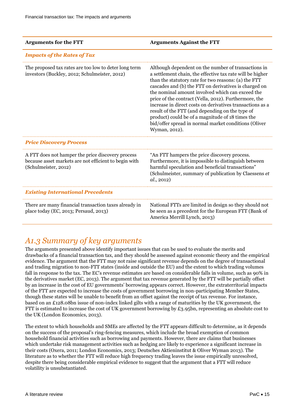| <b>Arguments for the FTT</b>                                                                                                       | <b>Arguments Against the FTT</b>                                                                                                                                                                                                                                                                                                                                                                                                                                                                                                                                                            |
|------------------------------------------------------------------------------------------------------------------------------------|---------------------------------------------------------------------------------------------------------------------------------------------------------------------------------------------------------------------------------------------------------------------------------------------------------------------------------------------------------------------------------------------------------------------------------------------------------------------------------------------------------------------------------------------------------------------------------------------|
| <b>Impacts of the Rates of Tax</b>                                                                                                 |                                                                                                                                                                                                                                                                                                                                                                                                                                                                                                                                                                                             |
| The proposed tax rates are too low to deter long term<br>investors (Buckley, 2012; Schulmeister, 2012)                             | Although dependent on the number of transactions in<br>a settlement chain, the effective tax rate will be higher<br>than the statutory rate for two reasons: (a) the FTT<br>cascades and (b) the FTT on derivatives is charged on<br>the nominal amount involved which can exceed the<br>price of the contract (Vella, 2012). Furthermore, the<br>increase in direct costs on derivatives transactions as a<br>result of the FTT (and depending on the type of<br>product) could be of a magnitude of 18 times the<br>bid/offer spread in normal market conditions (Oliver<br>Wyman, 2012). |
| <b>Price Discovery Process</b>                                                                                                     |                                                                                                                                                                                                                                                                                                                                                                                                                                                                                                                                                                                             |
| A FTT does not hamper the price discovery process<br>because asset markets are not efficient to begin with<br>(Schulmeister, 2012) | "An FTT hampers the price discovery process.<br>Furthermore, it is impossible to distinguish between<br>harmful speculation and beneficial transactions"<br>(Schulmeister, summary of publication by Claessens et<br>al., 2012)                                                                                                                                                                                                                                                                                                                                                             |
| <b>Existing International Precedents</b>                                                                                           |                                                                                                                                                                                                                                                                                                                                                                                                                                                                                                                                                                                             |
| There are many financial transaction taxes already in<br>place today (EC, 2013; Persaud, 2013)                                     | National FTTs are limited in design so they should not<br>be seen as a precedent for the European FTT (Bank of<br>America Merrill Lynch, 2013)                                                                                                                                                                                                                                                                                                                                                                                                                                              |

## *A1.3 Summary of key arguments*

The arguments presented above identify important issues that can be used to evaluate the merits and drawbacks of a financial transaction tax, and they should be assessed against economic theory and the empirical evidence. The argument that the FTT may not raise significant revenue depends on the degree of transactional and trading migration to non-FTT states (inside and outside the EU) and the extent to which trading volumes fall in response to the tax. The EC's revenue estimates are based on considerable falls in volume, such as 90% in the derivatives market (EC, 2013). The argument that tax revenue generated by the FTT will be partially offset by an increase in the cost of EU governments' borrowing appears correct. However, the extraterritorial impacts of the FTT are expected to increase the costs of government borrowing in non-participating Member States, though these states will be unable to benefit from an offset against the receipt of tax revenue. For instance, based on an £128.08bn issue of non-index linked gilts with a range of maturities by the UK government, the FTT is estimated to increase the cost of UK government borrowing by  $\epsilon$ 3.95bn, representing an absolute cost to the UK (London Economics, 2013).

The extent to which households and SMEs are affected by the FTT appears difficult to determine, as it depends on the success of the proposal's ring-fencing measures, which include the broad exemption of common household financial activities such as borrowing and payments. However, there are claims that businesses which undertake risk management activities such as hedging are likely to experience a significant increase in their costs (Oxera, 2011; London Economics, 2013; Deutsches Aktieninstitut & Oliver Wyman 2013). The literature as to whether the FTT will reduce high frequency trading leaves the issue empirically unresolved, despite there being considerable empirical evidence to suggest that the argument that a FTT will reduce volatility is unsubstantiated.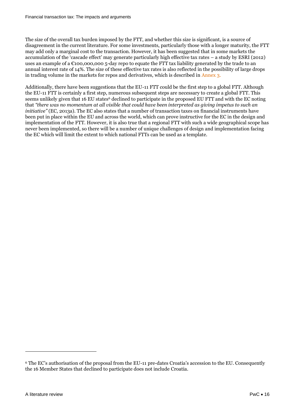The size of the overall tax burden imposed by the FTT, and whether this size is significant, is a source of disagreement in the current literature. For some investments, particularly those with a longer maturity, the FTT may add only a marginal cost to the transaction. However, it has been suggested that in some markets the accumulation of the 'cascade effect' may generate particularly high effective tax rates – a study by ESRI (2012) uses an example of a €100,000,000 5-day repo to equate the FTT tax liability generated by the trade to an annual interest rate of 14%. The size of these effective tax rates is also reflected in the possibility of large drops in trading volume in the markets for repos and derivatives, which is described in Annex 3.

Additionally, there have been suggestions that the EU-11 FTT could be the first step to a global FTT. Although the EU-11 FTT is certainly a first step, numerous subsequent steps are necessary to create a global FTT. This seems unlikely given that 16 EU states<sup>6</sup> declined to participate in the proposed EU FTT and with the EC noting that *"there was no momentum at all visible that could have been interpreted as giving impetus to such an initiative"* (EC, 2013a). The EC also states that a number of transaction taxes on financial instruments have been put in place within the EU and across the world, which can prove instructive for the EC in the design and implementation of the FTT. However, it is also true that a regional FTT with such a wide geographical scope has never been implemented, so there will be a number of unique challenges of design and implementation facing the EC which will limit the extent to which national FTTs can be used as a template.

<sup>6</sup> The EC's authorisation of the proposal from the EU-11 pre-dates Croatia's accession to the EU. Consequently the 16 Member States that declined to participate does not include Croatia.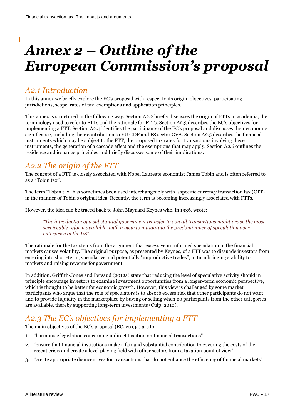# <span id="page-18-0"></span>*Annex 2 – Outline of the European Commission's proposal*

## *A2.1 Introduction*

In this annex we briefly explore the EC's proposal with respect to its origin, objectives, participating jurisdictions, scope, rates of tax, exemptions and application principles.

This annex is structured in the following way. Section A2.2 briefly discusses the origin of FTTs in academia, the terminology used to refer to FTTs and the rationale for FTTs. Section A2.3 describes the EC's objectives for implementing a FTT. Section A2.4 identifies the participants of the EC's proposal and discusses their economic significance, including their contribution to EU GDP and FS sector GVA. Section A2.5 describes the financial instruments which may be subject to the FTT, the proposed tax rates for transactions involving these instruments, the generation of a cascade effect and the exemptions that may apply. Section A2.6 outlines the residence and issuance principles and briefly discusses some of their implications.

# *A2.2 The origin of the FTT*

The concept of a FTT is closely associated with Nobel Laureate economist James Tobin and is often referred to as a "Tobin tax".

The term "Tobin tax" has sometimes been used interchangeably with a specific currency transaction tax (CTT) in the manner of Tobin's original idea. Recently, the term is becoming increasingly associated with FTTs.

However, the idea can be traced back to John Maynard Keynes who, in 1936, wrote:

*"The introduction of a substantial government transfer tax on all transactions might prove the most serviceable reform available, with a view to mitigating the predominance of speculation over enterprise in the US".*

The rationale for the tax stems from the argument that excessive uninformed speculation in the financial markets causes volatility. The original purpose, as presented by Keynes, of a FTT was to dissuade investors from entering into short-term, speculative and potentially "unproductive trades", in turn bringing stability to markets and raising revenue for government.

In addition, Griffith-Jones and Persaud (2012a) state that reducing the level of speculative activity should in principle encourage investors to examine investment opportunities from a longer-term economic perspective, which is thought to be better for economic growth. However, this view is challenged by some market participants who argue that the role of speculators is to absorb excess risk that other participants do not want and to provide liquidity in the marketplace by buying or selling when no participants from the other categories are available, thereby supporting long-term investments (Culp, 2010).

# *A2.3 The EC's objectives for implementing a FTT*

The main objectives of the EC's proposal (EC, 2013a) are to:

- 1. "harmonise legislation concerning indirect taxation on financial transactions"
- 2. "ensure that financial institutions make a fair and substantial contribution to covering the costs of the recent crisis and create a level playing field with other sectors from a taxation point of view"
- 3. "create appropriate disincentives for transactions that do not enhance the efficiency of financial markets"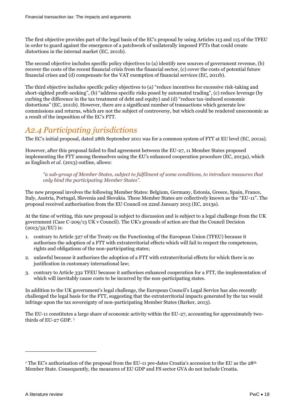The first objective provides part of the legal basis of the EC's proposal by using Articles 113 and 115 of the TFEU in order to guard against the emergence of a patchwork of unilaterally imposed FTTs that could create distortions in the internal market (EC, 2011b).

The second objective includes specific policy objectives to (a) identify new sources of government revenue, (b) recover the costs of the recent financial crisis from the financial sector, (c) cover the costs of potential future financial crises and (d) compensate for the VAT exemption of financial services (EC, 2011b).

The third objective includes specific policy objectives to (a) "reduce incentives for excessive risk-taking and short-sighted profit-seeking", (b) "address specific risks posed by automated trading", (c) reduce leverage (by curbing the difference in the tax treatment of debt and equity) and (d) "reduce tax-induced economic distortions" (EC, 2011b). However, there are a significant number of transactions which generate low commissions and returns, which are not the subject of controversy, but which could be rendered uneconomic as a result of the imposition of the EC's FTT.

## *A2.4 Participating jurisdictions*

The EC's initial proposal, dated 28th September 2011 was for a common system of FTT at EU level (EC, 2011a).

However, after this proposal failed to find agreement between the EU-27, 11 Member States proposed implementing the FTT among themselves using the EU's enhanced cooperation procedure (EC, 2013a), which as Englisch *et al*. (2013) outline, allows:

*"a sub-group of Member States, subject to fulfilment of some conditions, to introduce measures that only bind the participating Member States".* 

The new proposal involves the following Member States: Belgium, Germany, Estonia, Greece, Spain, France, Italy, Austria, Portugal, Slovenia and Slovakia. These Member States are collectively known as the "EU-11". The proposal received authorisation from the EU Council on 22nd January 2013 (EC, 2013a).

At the time of writing, this new proposal is subject to discussion and is subject to a legal challenge from the UK government (Case C-209/13 UK v Council). The UK's grounds of action are that the Council Decision (2013/52/EU) is:

- 1. contrary to Article 327 of the Treaty on the Functioning of the European Union (TFEU) because it authorises the adoption of a FTT with extraterritorial effects which will fail to respect the competences, rights and obligations of the non-participating states;
- 2. unlawful because it authorises the adoption of a FTT with extraterritorial effects for which there is no justification in customary international law;
- 3. contrary to Article 332 TFEU because it authorises enhanced cooperation for a FTT, the implementation of which will inevitably cause costs to be incurred by the non-participating states.

In addition to the UK government's legal challenge, the European Council's Legal Service has also recently challenged the legal basis for the FTT, suggesting that the extraterritorial impacts generated by the tax would infringe upon the tax sovereignty of non-participating Member States (Barker, 2013).

The EU-11 constitutes a large share of economic activity within the EU-27, accounting for approximately twothirds of EU-27 GDP. <sup>7</sup>

<sup>7</sup> The EC's authorisation of the proposal from the EU-11 pre-dates Croatia's accession to the EU as the 28th Member State. Consequently, the measures of EU GDP and FS sector GVA do not include Croatia.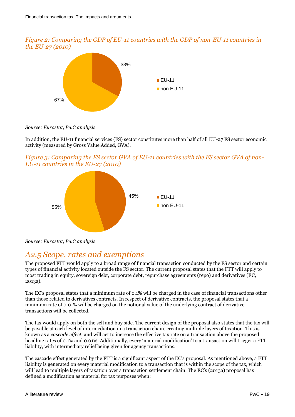#### *Figure 2: Comparing the GDP of EU-11 countries with the GDP of non-EU-11 countries in the EU-27 (2010)*



*Source: Eurostat, PwC analysis*

In addition, the EU-11 financial services (FS) sector constitutes more than half of all EU-27 FS sector economic activity (measured by Gross Value Added, GVA).

#### *Figure 3: Comparing the FS sector GVA of EU-11 countries with the FS sector GVA of non-EU-11 countries in the EU-27 (2010)*



*Source: Eurostat, PwC analysis*

### *A2.5 Scope, rates and exemptions*

The proposed FTT would apply to a broad range of financial transaction conducted by the FS sector and certain types of financial activity located outside the FS sector. The current proposal states that the FTT will apply to most trading in equity, sovereign debt, corporate debt, repurchase agreements (repo) and derivatives (EC, 2013a).

The EC's proposal states that a minimum rate of 0.1% will be charged in the case of financial transactions other than those related to derivatives contracts. In respect of derivative contracts, the proposal states that a minimum rate of 0.01% will be charged on the notional value of the underlying contract of derivative transactions will be collected.

The tax would apply on both the sell and buy side. The current design of the proposal also states that the tax will be payable at each level of intermediation in a transaction chain, creating multiple layers of taxation. This is known as a *cascade effect*, and will act to increase the effective tax rate on a transaction above the proposed headline rates of 0.1% and 0.01%. Additionally, every 'material modification' to a transaction will trigger a FTT liability, with intermediary relief being given for agency transactions.

The cascade effect generated by the FTT is a significant aspect of the EC's proposal. As mentioned above, a FTT liability is generated on every material modification to a transaction that is within the scope of the tax, which will lead to multiple layers of taxation over a transaction settlement chain. The EC's (2013a) proposal has defined a modification as material for tax purposes when: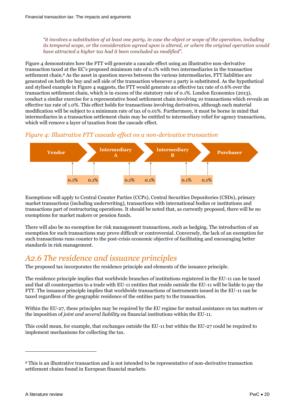*"it involves a substitution of at least one party, in case the object or scope of the operation, including its temporal scope, or the consideration agreed upon is altered, or where the original operation would have attracted a higher tax had it been concluded as modified".*

Figure 4 demonstrates how the FTT will generate a cascade effect using an illustrative non-derivative transaction taxed at the EC's proposed minimum rate of 0.1% with two intermediaries in the transaction settlement chain.<sup>8</sup> As the asset in question moves between the various intermediaries, FTT liabilities are generated on both the buy and sell side of the transaction whenever a party is substituted. As the hypothetical and stylised example in Figure 4 suggests, the FTT would generate an effective tax rate of 0.6% over the transaction settlement chain, which is in excess of the statutory rate of 0.1%. London Economics (2013), conduct a similar exercise for a representative bond settlement chain involving 10 transactions which reveals an effective tax rate of 1.0%. This effect holds for transactions involving derivatives, although each material modification will be subject to a minimum rate of tax of 0.01%. Furthermore, it must be borne in mind that intermediaries in a transaction settlement chain may be entitled to intermediary relief for agency transactions, which will remove a layer of taxation from the cascade effect.

#### *Figure 4: Illustrative FTT cascade effect on a non-derivative transaction*



Exemptions will apply to Central Counter Parties (CCPs), Central Securities Depositories (CSDs), primary market transactions (including underwriting), transactions with international bodies or institutions and transactions part of restructuring operations. It should be noted that, as currently proposed, there will be no exemptions for market makers or pension funds.

There will also be no exemption for risk management transactions, such as hedging. The introduction of an exemption for such transactions may prove difficult or controversial. Conversely, the lack of an exemption for such transactions runs counter to the post-crisis economic objective of facilitating and encouraging better standards in risk management.

## *A2.6 The residence and issuance principles*

The proposed tax incorporates the residence principle and elements of the issuance principle.

The residence principle implies that worldwide branches of institutions registered in the EU-11 can be taxed and that all counterparties to a trade with EU-11 entities that reside outside the EU-11 will be liable to pay the FTT. The issuance principle implies that worldwide transactions of instruments issued in the EU-11 can be taxed regardless of the geographic residence of the entities party to the transaction.

Within the EU-27, these principles may be required by the EU regime for mutual assistance on tax matters or the imposition of *joint and several liability* on financial institutions within the EU-11.

This could mean, for example, that exchanges outside the EU-11 but within the EU-27 could be required to implement mechanisms for collecting the tax.

<sup>8</sup> This is an illustrative transaction and is not intended to be representative of non-derivative transaction settlement chains found in European financial markets.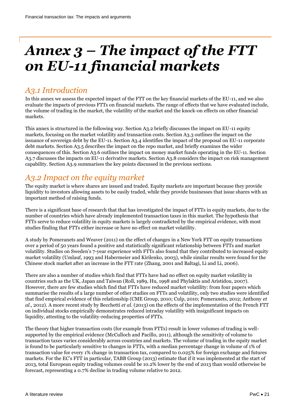# <span id="page-22-0"></span>*Annex 3 – The impact of the FTT on EU-11 financial markets*

## *A3.1 Introduction*

In this annex we assess the expected impact of the FTT on the key financial markets of the EU-11, and we also evaluate the impacts of previous FTTs on financial markets. The range of effects that we have evaluated include, the volume of trading in the market, the volatility of the market and the knock-on effects on other financial markets.

This annex is structured in the following way. Section A3.2 briefly discusses the impact on EU-11 equity markets, focusing on the market volatility and transaction costs. Section A3.3 outlines the impact on the issuance of sovereign debt by the EU-11. Section A3.4 identifies the impact of the proposal on EU-11 corporate debt markets. Section A3.5 describes the impact on the repo market, and briefly examines the wider consequences of this. Section A3.6 outlines the impact on money market funds operating in the EU-11. Section A3.7 discusses the impacts on EU-11 derivative markets. Section A3.8 considers the impact on risk management capability. Section A3.9 summarises the key points discussed in the previous sections.

# *A3.2 Impact on the equity market*

The equity market is where shares are issued and traded. Equity markets are important because they provide liquidity to investors allowing assets to be easily traded, while they provide businesses that issue shares with an important method of raising funds.

There is a significant base of research that that has investigated the impact of FTTs in equity markets, due to the number of countries which have already implemented transaction taxes in this market. The hypothesis that FTTs serve to reduce volatility in equity markets is largely contradicted by the empirical evidence, with most studies finding that FTTs either increase or have no effect on market volatility.

A study by Pomeranets and Weaver (2011) on the effect of changes in a New York FTT on equity transactions over a period of 50 years found a positive and statistically significant relationship between FTTs and market volatility. Studies on Sweden's 7-year experience with FTTs also found that they contributed to increased equity market volatility (Umlauf, 1993 and Habermeier and Kirilenko, 2003), while similar results were found for the Chinese stock market after an increase in the FTT rate (Zhang, 2001 and Baltagi, Li and Li, 2006).

There are also a number of studies which find that FTTs have had no effect on equity market volatility in countries such as the UK, Japan and Taiwan (Roll, 1989, Hu, 1998 and Phylaktis and Aristidou, 2007). However, there are few studies which find that FTTs have reduced market volatility: from four papers which summarise the results of a large number of other studies on FTTs and volatility, only two studies were identified that find empirical evidence of this relationship (CME Group, 2010; Culp, 2010; Pomeranets, 2012; Anthony *et al*., 2012). A more recent study by Becchetti *et al*. (2013) on the effects of the implementation of the French FTT on individual stocks empirically demonstrates reduced intraday volatility with insignificant impacts on liquidity, attesting to the volatility-reducing properties of FTTs.

The theory that higher transaction costs (for example from FTTs) result in lower volumes of trading is wellsupported by the empirical evidence (McCulloch and Pacillo, 2011), although the sensitivity of volume to transaction taxes varies considerably across countries and markets. The volume of trading in the equity market is found to be particularly sensitive to changes in FTTs, with a median percentage change in volume of 1% of transaction value for every 1% change in transaction tax, compared to 0.025% for foreign exchange and futures markets. For the EC's FTT in particular, TABB Group (2013) estimate that if it was implemented at the start of 2013, total European equity trading volumes could be 10.2% lower by the end of 2013 than would otherwise be forecast, representing a 0.7% decline in trading volume relative to 2012.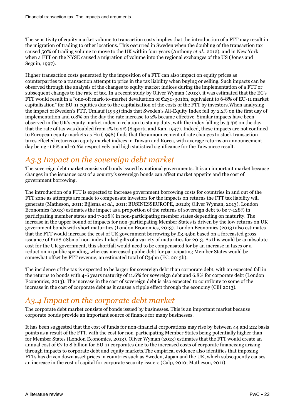The sensitivity of equity market volume to transaction costs implies that the introduction of a FTT may result in the migration of trading to other locations. This occurred in Sweden when the doubling of the transaction tax caused 50% of trading volume to move to the UK within four years (Anthony *et al*., 2012), and in New York when a FTT on the NYSE caused a migration of volume into the regional exchanges of the US (Jones and Seguin, 1997).

Higher transaction costs generated by the imposition of a FTT can also impact on equity prices as counterparties to a transaction attempt to price in the tax liability when buying or selling. Such impacts can be observed through the analysis of the changes to equity market indices during the implementation of a FTT or subsequent changes to the rate of tax. In a recent study by Oliver Wyman (2013), it was estimated that the EC's FTT would result in a "one-off mark-to-market devaluation of €230-301bn, equivalent to 6-8% of EU-11 market capitalisation" for EU-11 equities due to the capitalisation of the costs of the FTT by investors.When analysing the impact of Sweden's FTT, Umlauf (1993) finds that Sweden's All-Equity Index fell by 2.2% on the first day of implementation and 0.8% on the day the rate increase to 2% became effective. Similar impacts have been observed in the UK's equity market index in relation to stamp duty, with the index falling by 3.3% on the day that the rate of tax was doubled from 1% to 2% (Saporta and Kan, 1997). Indeed, these impacts are not confined to European equity markets as Hu (1998) finds that the announcement of rate changes to stock transaction taxes effected returns on equity market indices in Taiwan and Korea, with average returns on announcement day being -1.6% and -0.6% respectively and high statistical significance for the Taiwanese result.

# *A3.3 Impact on the sovereign debt market*

The sovereign debt market consists of bonds issued by national governments. It is an important market because changes in the issuance cost of a country's sovereign bonds can affect market appetite and the cost of government borrowing.

The introduction of a FTT is expected to increase government borrowing costs for countries in and out of the FTT zone as attempts are made to compensate investors for the impacts on returns the FTT tax liability will generate (Matheson, 2011; Bijlsma *et al*., 2011; BUSINESSEUROPE, 2012b; Oliver Wyman, 2013). London Economics (2013) estimates the impact as a proportion of the returns of sovereign debt to be 7-128% in participating member states and 7-208% in non-participating member states depending on maturity. The increase in the upper bound of impacts for non-participating Member States is driven by the low returns on UK government bonds with short maturities (London Economics, 2013). London Economics (2013) also estimates that the FTT would increase the cost of UK government borrowing by  $E_3$ .95bn based on a forecasted gross issuance of £128.08bn of non-index linked gilts of a variety of maturities for 2013. As this would be an absolute cost for the UK government, this shortfall would need to be compensated for by an increase in taxes or a reduction in public spending, whereas increased public debt for participating Member States would be somewhat offset by FTT revenue, an estimated total of  $\epsilon$ 34bn (EC, 2013b).

The incidence of the tax is expected to be larger for sovereign debt than corporate debt, with an expected fall in the returns to bonds with 4-6 years maturity of 11.6% for sovereign debt and 6.8% for corporate debt (London Economics, 2013). The increase in the cost of sovereign debt is also expected to contribute to some of the increase in the cost of corporate debt as it causes a ripple effect through the economy (CBI 2013).

# *A3.4 Impact on the corporate debt market*

The corporate debt market consists of bonds issued by businesses. This is an important market because corporate bonds provide an important source of finance for many businesses.

It has been suggested that the cost of funds for non-financial corporations may rise by between 44 and 212 basis points as a result of the FTT, with the cost for non-participating Member States being potentially higher than for Member States (London Economics, 2013). Oliver Wyman (2013) estimates that the FTT would create an annual cost of  $\epsilon$ 7 to 8 billion for EU-11 corporates due to the increased costs of corporate financising arising through impacts to corporate debt and equity markets.The empirical evidence also identifies that imposing FTTs has driven down asset prices in countries such as Sweden, Japan and the UK, which subsequently causes an increase in the cost of capital for corporate security issuers (Culp, 2010; Matheson, 2011).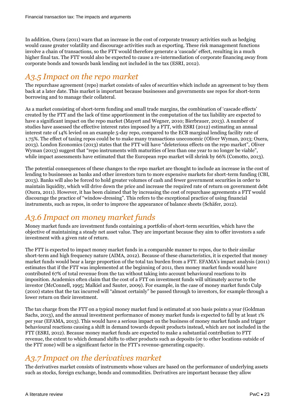In addition, Oxera (2011) warn that an increase in the cost of corporate treasury activities such as hedging would cause greater volatility and discourage activities such as exporting. These risk management functions involve a chain of transactions, so the FTT would therefore generate a 'cascade' effect, resulting in a much higher final tax. The FTT would also be expected to cause a re-intermediation of corporate financing away from corporate bonds and towards bank lending not included in the tax (ESRI, 2012).

## *A3.5 Impact on the repo market*

The repurchase agreement (repo) market consists of sales of securities which include an agreement to buy them back at a later date. This market is important because businesses and governments use repos for short-term borrowing and to manage their collateral.

As a market consisting of short-term funding and small trade margins, the combination of 'cascade effects' created by the FTT and the lack of time apportionment in the computation of the tax liability are expected to have a significant impact on the repo market (Mayert and Wegner, 2010; Bierbrauer, 2013). A number of studies have assessed the effective interest rates imposed by a FTT, with ESRI (2012) estimating an annual interest rate of 14% levied on an example 5-day repo, compared to the ECB marginal lending facility rate of 1.75%. The effect of taxing repos could be to make many transactions uneconomic (Oliver Wyman, 2013; Oxera, 2013). London Economics (2013) states that the FTT will have "deleterious effects on the repo market", Oliver Wyman (2013) suggest that "repo instruments with maturities of less than one year to no longer be viable", while impact assessments have estimated that the European repo market will shrink by 66% (Comotto, 2013).

The potential consequences of these changes to the repo market are thought to include an increase in the cost of lending to businesses as banks and other investors turn to more expensive markets for short-term funding (CBI, 2013). Banks will also be forced to hold greater volumes of cash and fewer government securities in order to maintain liquidity, which will drive down the price and increase the required rate of return on government debt (Oxera, 2011). However, it has been claimed that by increasing the cost of repurchase agreements a FTT would discourage the practice of "window-dressing". This refers to the exceptional practice of using financial instruments, such as repos, in order to improve the appearance of balance sheets (Schäfer, 2012).

## *A3.6 Impact on money market funds*

Money market funds are investment funds containing a portfolio of short-term securities, which have the objective of maintaining a steady net asset value. They are important because they aim to offer investors a safe investment with a given rate of return.

The FTT is expected to impact money market funds in a comparable manner to repos, due to their similar short-term and high frequency nature (AIMA, 2012). Because of these characteristics, it is expected that money market funds would bear a large proportion of the total tax burden from a FTT. EFAMA's impact analysis (2011) estimates that if the FTT was implemented at the beginning of 2011, then money market funds would have contributed 67% of total revenue from the tax without taking into account behavioural reactions to its imposition. Academics often claim that the cost of a FTT on investment funds will ultimately accrue to the investor (McConnell, 1995; Malkiel and Sauter, 2009). For example, in the case of money market funds Culp (2010) states that the tax incurred will "almost certainly" be passed through to investors, for example through a lower return on their investment.

The tax charge from the FTT on a typical money market fund is estimated at 100 basis points a year (Goldman Sachs, 2013), and the annual investment performance of money market funds is expected to fall by at least 1% per year (EFAMA, 2013). This would have a serious impact on the business of money market funds and trigger behavioural reactions causing a shift in demand towards deposit products instead, which are not included in the FTT (ESRI, 2012). Because money market funds are expected to make a substantial contribution to FTT revenue, the extent to which demand shifts to other products such as deposits (or to other locations outside of the FTT zone) will be a significant factor in the FTT's revenue-generating capacity.

## *A3.7 Impact on the derivatives market*

The derivatives market consists of instruments whose values are based on the performance of underlying assets such as stocks, foreign exchange, bonds and commodities. Derivatives are important because they allow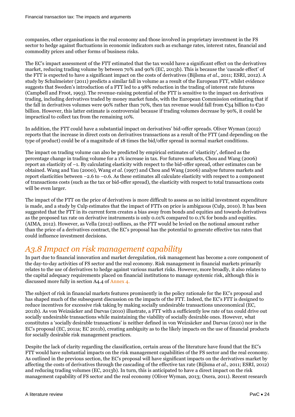companies, other organisations in the real economy and those involved in proprietary investment in the FS sector to hedge against fluctuations in economic indicators such as exchange rates, interest rates, financial and commodity prices and other forms of business risks.

The EC's impact assessment of the FTT estimated that the tax would have a significant effect on the derivatives market, reducing trading volume by between 70% and 90% (EC, 2013b). This is because the 'cascade effect' of the FTT is expected to have a significant impact on the costs of derivatives (Bijlsma *et al*., 2011; ESRI, 2012). A study by Schulmeister (2011) predicts a similar fall in volume as a result of the European FTT, whilst evidence suggests that Sweden's introduction of a FTT led to a 98% reduction in the trading of interest rate futures (Campbell and Froot, 1993). The revenue-raising potential of the FTT is sensitive to the impact on derivatives trading, including derivatives traded by money market funds, with the European Commission estimating that if the fall in derivatives volumes were 90% rather than 70%, then tax revenue would fall from  $\mathfrak{C}_34$  billion to  $\mathfrak{C}_2$ billion. However, this latter estimate is controversial because if trading volumes decrease by 90%, it could be impractical to collect tax from the remaining 10%.

In addition, the FTT could have a substantial impact on derivatives' bid-offer spreads. Oliver Wyman (2012) reports that the increase in direct costs on derivatives transactions as a result of the FTT (and depending on the type of product) could be of a magnitude of 18 times the bid/offer spread in normal market conditions.

The impact on trading volume can also be predicted by empirical estimates of 'elasticity', defined as the percentage change in trading volume for a 1% increase in tax. For futures markets, Chou and Wang (2006) report an elasticity of –1. By calculating elasticity with respect to the bid-offer spread, other estimates can be obtained. Wang and Yau (2000), Wang *et al.* (1997) and Chou and Wang (2006) analyse futures markets and report elasticities between –2.6 to –0.6. As these estimates all calculate elasticity with respect to a component of transactions costs (such as the tax or bid-offer spread), the elasticity with respect to total transactions costs will be even larger.

The impact of the FTT on the price of derivatives is more difficult to assess as no initial investment expenditure is made, and a study by Culp estimates that the impact of FTTs on price is ambiguous (Culp, 2010). It has been suggested that the FTT in its current form creates a bias away from bonds and equities and towards derivatives as the proposed tax rate on derivative instruments is only 0.01% compared to 0.1% for bonds and equities. (AIMA, 2012). However, as Vella (2012) outlines, as the FTT would be levied on the notional amount rather than the price of a derivatives contract, the EC's proposal has the potential to generate effective tax rates that could influence investment decisions.

# *A3.8 Impact on risk management capability*

In part due to financial innovation and market deregulation, risk management has become a core component of the day-to-day activities of FS sector and the real economy. Risk management in financial markets primarily relates to the use of derivatives to hedge against various market risks. However, more broadly, it also relates to the capital adequacy requirements placed on financial institutions to manage systemic risk, although this is discussed more fully in section A4.4 of Annex 4.

The subject of risk in financial markets features prominently in the policy rationale for the EC's proposal and has shaped much of the subsequent discussion on the impacts of the FTT. Indeed, the EC's FTT is designed to reduce incentives for excessive risk taking by making socially undesirable transactions uneconomical (EC, 2011b). As von Weizsäcker and Darvas (2010) illustrate, a FTT with a sufficiently low rate of tax could drive out socially undesirable transactions while maintaining the viability of socially desirable ones. However, what constitutes a 'socially desirable transactions' is neither defined in von Weizsäcker and Darvas (2010) nor in the EC's proposal (EC, 2011a; EC 2011b), creating ambiguity as to the likely impacts on the use of financial products for socially desirable risk management practices.

Despite the lack of clarity regarding the classification, certain areas of the literature have found that the EC's FTT would have substantial impacts on the risk management capabilities of the FS sector and the real economy. As outlined in the previous section, the EC's proposal will have significant impacts on the derivatives market by affecting the costs of derivatives through the cascading of the effective tax rate (Bijlsma *et al*., 2011; ESRI, 2012) and reducing trading volumes (EC, 2013b). In turn, this is anticipated to have a direct impact on the risk management capability of FS sector and the real economy (Oliver Wyman, 2013; Oxera, 2011). Recent research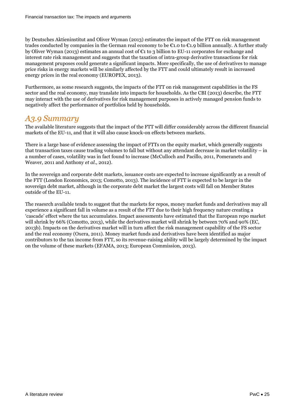by Deutsches Aktieninstitut and Oliver Wyman (2013) estimates the impact of the FTT on risk management trades conducted by companies in the German real economy to be  $\epsilon_{1.0}$  to  $\epsilon_{1.9}$  billion annually. A further study by Oliver Wyman (2013) estimates an annual cost of €1 to 3 billion to EU-11 corporates for exchange and interest rate risk management and suggests that the taxation of intra-group derivative transactions for risk management pruposes could generate a significant impacts. More specifically, the use of derivatives to manage price risks in energy markets will be similarly affected by the FTT and could ultimately result in increased energy prices in the real economy (EUROPEX, 2013).

Furthermore, as some research suggests, the impacts of the FTT on risk management capabilities in the FS sector and the real economy, may translate into impacts for households. As the CBI (2013) describe, the FTT may interact with the use of derivatives for risk management purposes in actively managed pension funds to negatively affect the performance of portfolios held by households.

### *A3.9 Summary*

The available literature suggests that the impact of the FTT will differ considerably across the different financial markets of the EU-11, and that it will also cause knock-on effects between markets.

There is a large base of evidence assessing the impact of FTTs on the equity market, which generally suggests that transaction taxes cause trading volumes to fall but without any attendant decrease in market volatility – in a number of cases, volatility was in fact found to increase (McCulloch and Pacillo, 2011, Pomeranets and Weaver, 2011 and Anthony *et al.,* 2012).

In the sovereign and corporate debt markets, issuance costs are expected to increase significantly as a result of the FTT (London Economics, 2013; Comotto, 2013). The incidence of FTT is expected to be larger in the sovereign debt market, although in the corporate debt market the largest costs will fall on Member States outside of the EU-11.

The reaesrch available tends to suggest that the markets for repos, money market funds and derivatives may all experience a significant fall in volume as a result of the FTT due to their high frequency nature creating a 'cascade' effect where the tax accumulates. Impact assessments have estimated that the European repo market will shrink by 66% (Comotto, 2013), while the derivatives market will shrink by between 70% and 90% (EC, 2013b). Impacts on the derivatives market will in turn affect the risk management capability of the FS sector and the real economy (Oxera, 2011). Money market funds and derivatives have been identified as major contributors to the tax income from FTT, so its revenue-raising ability will be largely determined by the impact on the volume of these markets (EFAMA, 2013; European Commission, 2013).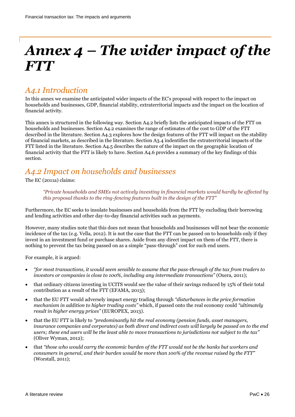# <span id="page-27-0"></span>*Annex 4 – The wider impact of the FTT*

## *A4.1 Introduction*

In this annex we examine the anticipated wider impacts of the EC's proposal with respect to the impact on households and businesses, GDP, financial stability, extraterritorial impacts and the impact on the location of financial activity.

This annex is structured in the following way. Section A4.2 briefly lists the anticipated impacts of the FTT on households and businesses. Section A4.2 examines the range of estimates of the cost to GDP of the FTT described in the literature. Section A4.3 explores how the design features of the FTT will impact on the stability of financial markets, as described in the literature. Section A3.4 indentifies the extraterritorial impacts of the FTT listed in the literature. Section A4.5 describes the nature of the impact on the geographic location of financial activity that the FTT is likely to have. Section A4.6 provides a summary of the key findings of this section.

# *A4.2 Impact on households and businesses*

#### The EC (2011a) claims:

*"Private households and SMEs not actively investing in financial markets would hardly be affected by this proposal thanks to the ring-fencing features built in the design of the FTT"*

Furthermore, the EC seeks to insulate businesses and households from the FTT by excluding their borrowing and lending activities and other day-to-day financial activities such as payments.

However, many studies note that this does not mean that households and businesses will not bear the economic incidence of the tax (e.g. Vella, 2012). It is not the case that the FTT can be passed on to households only if they invest in an investment fund or purchase shares. Aside from any direct impact on them of the FTT, there is nothing to prevent the tax being passed on as a simple "pass-through" cost for such end users.

For example, it is argued:

- *"for most transactions, it would seem sensible to assume that the pass-through of the tax from traders to investors or companies is close to 100%, including any intermediate transactions"* (Oxera, 2011);
- that ordinary citizens investing in UCITS would see the value of their savings reduced by 15% of their total contribution as a result of the FTT (EFAMA, 2013);
- that the EU FTT would adversely impact energy trading through *"disturbances in the price formation mechanism in addition to higher trading costs"* which, if passed onto the real economy could *"ultimately result in higher energy prices"* (EUROPEX, 2013).
- that the EU FTT is likely to *"predominantly hit the real economy (pension funds, asset managers, insurance companies and corporates) as both direct and indirect costs will largely be passed on to the end users; these end users will be the least able to move transactions to jurisdictions not subject to the tax"* (Oliver Wyman, 2012);
- that *"those who would carry the economic burden of the FTT would not be the banks but workers and consumers in general, and their burden would be more than 100% of the revenue raised by the FTT"* (Worstall, 2011);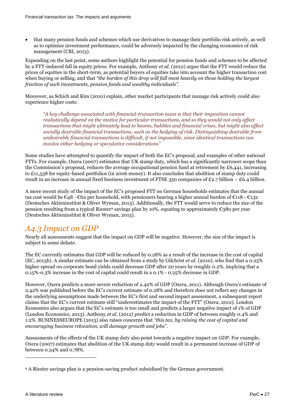that many pension funds and schemes which use derivatives to manage their portfolio risk actively, as well as to optimise investment performance, could be adversely impacted by the changing economics of risk management (CBI, 2013).

Expanding on the last point, some authors highlight the potential for pension funds and schemes to be affected by a FTT-induced fall in equity prices. For example, Anthony *et al*. (2012) argue that the FTT would reduce the prices of equities in the short-term, as potential buyers of equities take into account the higher transaction cost when buying or selling, and that *"the burden of this drop will fall most heavily on those holding the largest fraction of such investments, pension funds and wealthy individuals".*

Moreover, as Schich and Kim (2010) explain, other market participants that manage risk actively could also experience higher costs:

*"A key challenge associated with financial-transaction taxes is that their imposition cannot realistically depend on the motive for particular transactions, and so they would not only affect transactions that might ultimately lead to booms, bubbles and financial crises, but might also affect socially desirable financial transactions, such as the hedging of risk. Distinguishing desirable from undesirable financial transactions is difficult, if not impossible, since identical transactions can involve either hedging or speculative considerations"*

Some studies have attempted to quantify the impact of both the EC's proposal, and examples of other national FTTs. For example, Oxera (2007) estimates that UK stamp duty, which has a significantly narrower scope than the Commission's proposal, reduces the average occupational pension fund at retirement by £6,441, increasing to £11,538 for equity-based portfolios (in 2006 money). It also concludes that abolition of stamp duty could result in an increase in annual fixed business investment of FTSE 350 companies of £2.7 billion – £6.4 billion.

A more recent study of the impact of the EC's proposed FTT on German households estimates that the annual tax cost would be  $\epsilon_{48}$  -  $\epsilon_{62}$  per household, with pensioners bearing a higher annual burden of  $\epsilon_{18}$  -  $\epsilon_{13}$ (Deutsches Aktieninstitut & Oliver Wyman, 2013). Additionally, the FTT would serve to reduce the size of the pension resulting from a typical Riester<sup>9</sup> savings plan by 10%, equating to approximately €380 per year (Deutsches Aktieninstitut & Oliver Wyman, 2013).

## *A4.3 Impact on GDP*

Nearly all assessments suggest that the impact on GDP will be negative. However, the size of the impact is subject to some debate.

The EC currently estimates that GDP will be reduced by 0.28% as a result of the increase in the cost of capital (EC, 2013b). A similar estimate can be obtained from a study by Gilchrist *et al*. (2010), who find that a 0.25% higher spread on corporate bond yields could decrease GDP after 20 years by roughly 0.2%, implying that a 0.15%-0.3% increase in the cost of capital could result in a 0.1% - 0.25% decrease in GDP.

However, Oxera predicts a more severe reduction of 2.42% of GDP (Oxera, 2011). Although Oxera's estimate of 2.42% was published before the EC's current estimate of 0.28% and therefore does not reflect any changes in the underlying assumptions made between the EC's first and second impact assessment, a subsequent report claims that the EC's current estimate still "underestimates the impact of the FTT" (Oxera, 2012). London Economics also argues that the EC's estimate is too small and predicts a larger negative impact of 1% of GDP (London Economics, 2013). Anthony *et al*. (2012) predict a reduction in GDP of between roughly 0.4% and 1.2%. BUSINESSEUROPE (2013) also raises concerns that *"this tax, by raising the cost of capital and encouraging business relocation, will damage growth and jobs".*

Assessments of the effects of the UK stamp duty also point towards a negative impact on GDP. For example, Oxera (2007) estimates that abolition of the UK stamp duty would result in a permanent increase of GDP of between 0.24% and 0.78%.

<sup>9</sup> A Riester savings plan is a pension-saving product subsidised by the German government.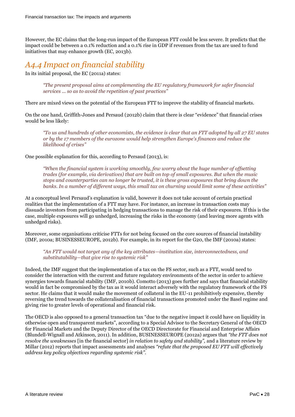However, the EC claims that the long-run impact of the European FTT could be less severe. It predicts that the impact could be between a 0.1% reduction and a 0.1% rise in GDP if revenues from the tax are used to fund initiatives that may enhance growth (EC, 2013b).

# *A4.4 Impact on financial stability*

In its initial proposal, the EC (2011a) states:

*"The present proposal aims at complementing the EU regulatory framework for safer financial services ... so as to avoid the repetition of past practices"*

There are mixed views on the potential of the European FTT to improve the stability of financial markets.

On the one hand, Griffith-Jones and Persaud (2012b) claim that there is clear "evidence" that financial crises would be less likely:

*"To us and hundreds of other economists, the evidence is clear that an FTT adopted by all 27 EU states or by the 17 members of the eurozone would help strengthen Europe's finances and reduce the likelihood of crises"*

One possible explanation for this, according to Persaud (2013), is:

*"When the financial system is working smoothly, few worry about the huge number of offsetting trades (for example, via derivatives) that are built on top of small exposures. But when the music stops and counterparties can no longer be trusted, it is these gross exposures that bring down the banks. In a number of different ways, this small tax on churning would limit some of these activities"*

At a conceptual level Persaud's explanation is valid, however it does not take account of certain practical realities that the implementation of a FTT may have. For instance, an increase in transaction costs may dissuade investors from participating in hedging transactions to manage the risk of their exposures. If this is the case, multiple exposures will go unhedged, increasing the risks in the economy (and leaving more agents with unhedged risks).

Moreover, some organisations criticise FTTs for not being focused on the core sources of financial instability (IMF, 2010a; BUSINESSEUROPE, 2012b). For example, in its report for the G20, the IMF (2010a) states:

*"An FTT would not target any of the key attributes—institution size, interconnectedness, and substitutability—that give rise to systemic risk"*

Indeed, the IMF suggest that the implementation of a tax on the FS sector, such as a FTT, would need to consider the interaction with the current and future regulatory environments of the sector in order to achieve synergies towards financial stability (IMF, 2010b). Comotto (2013) goes further and says that financial stability would in fact be compromised by the tax as it would interact adversely with the regulatory framework of the FS sector. He claims that it would make the movement of collateral in the EU-11 prohibitively expensive, thereby reversing the trend towards the collateralisation of financial transactions promoted under the Basel regime and giving rise to greater levels of operational and financial risk.

The OECD is also opposed to a general transaction tax "due to the negative impact it could have on liquidity in otherwise open and transparent markets", according to a Special Advisor to the Secretary General of the OECD for Financial Markets and the Deputy Director of the OECD Directorate for Financial and Enterprise Affairs (Blundell-Wignall and Atkinson, 2011). In addition, BUSINESSEUROPE (2012a) argues that *"the FTT does not resolve the weaknesses* [in the financial sector] *in relation to safety and stability",* and a literature review by Millar (2012) reports that impact assessments and analyses *"refute that the proposed EU FTT will effectively address key policy objectives regarding systemic risk".*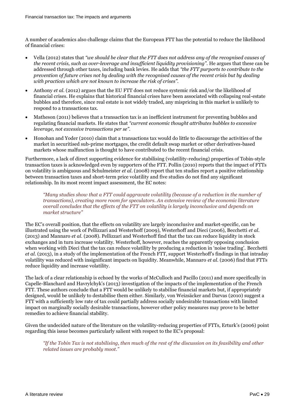A number of academics also challenge claims that the European FTT has the potential to reduce the likelihood of financial crises:

- Vella (2012) states that *"we should be clear that the FTT does not address any of the recognised causes of the recent crisis, such as over-leverage and insufficient liquidity provisioning".* He argues that these can be addressed through other taxes, including bank levies. He adds that *"the FTT purports to contribute to the prevention of future crises not by dealing with the recognised causes of the recent crisis but by dealing with practices which are not known to increase the risk of crises".*
- Anthony *et al.* (2012) argues that the EU FTT does not reduce systemic risk and/or the likelihood of financial crises. He explains that historical financial crises have been associated with collapsing real-estate bubbles and therefore, since real estate is not widely traded, any mispricing in this market is unlikely to respond to a transactions tax.
- Matheson (2011) believes that a transaction tax is an inefficient instrument for preventing bubbles and regulating financial markets. He states that *"current economic thought attributes bubbles to excessive leverage, not excessive transactions per se".*
- Honohan and Yoder (2010) claim that a transactions tax would do little to discourage the activities of the market in securitised sub-prime mortgages, the credit default swap market or other derivatives-based markets whose malfunction is thought to have contributed to the recent financial crisis.

Furthermore, a lack of direct supporting evidence for stabilising (volatility-reducing) properties of Tobin-style transaction taxes is acknowledged even by supporters of the FTT. Pollin (2010) reports that the impact of FTTs on volatility is ambiguous and Schulmeister *et al*. (2008) report that ten studies report a positive relationship between transaction taxes and short-term price volatility and five studies do not find any significant relationship. In its most recent impact assessment, the EC notes:

*"Many studies show that a FTT could aggravate volatility (because of a reduction in the number of transactions), creating more room for speculators. An extensive review of the economic literature overall concludes that the effects of the FTT on volatility is largely inconclusive and depends on market structure"*

The EC's overall position, that the effects on volatility are largely inconclusive and market-specific, can be illustrated using the work of Pellizzari and Westerhoff (2009), Westerhoff and Dieci (2006), Becchetti *et al.* (2013) and Mannaro *et al.* (2008). Pellizzari and Westerhoff find that the tax can reduce liquidity in stock exchanges and in turn increase volatility. Westerhoff, however, reaches the apparently opposing conclusion when working with Dieci that the tax can reduce volatility by producing a reduction in 'noise trading'. Becchetti *et al.* (2013), in a study of the implementation of the French FTT, support Westerhoff's findings in that intraday volatility was reduced with insignificant impacts on liquidity. Meanwhile, Mannaro *et al.* (2006) find that FTTs reduce liquidity and increase volatility.

The lack of a clear relationship is echoed by the works of McCulloch and Pacillo (2011) and more specifically in Capelle-Blanchard and Havrylchyk's (2013) investigation of the impacts of the implementation of the French FTT. These authors conclude that a FTT would be unlikely to stabilise financial markets but, if appropriately designed, would be unlikely to destabilise them either. Similarly, von Weizsäcker and Darvas (2010) suggest a FTT with a sufficiently low rate of tax could partially address socially undesirable transactions with limited impact on marginally socially desirable transactions, however other policy measures may prove to be better remedies to achieve financial stability.

Given the undecided nature of the literature on the volatility-reducing properties of FTTs, Erturk's (2006) point regarding this issue becomes particularly salient with respect to the EC's proposal:

*"If the Tobin Tax is not stabilising, then much of the rest of the discussion on its feasibility and other related issues are probably moot."*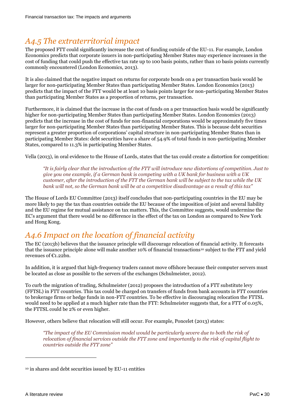# *A4.5 The extraterritorial impact*

The proposed FTT could significantly increase the cost of funding outside of the EU-11. For example, London Economics predicts that corporate issuers in non-participating Member States may experience increases in the cost of funding that could push the effective tax rate up to 100 basis points, rather than 10 basis points currently commonly encountered (London Economics, 2013).

It is also claimed that the negative impact on returns for corporate bonds on a per transaction basis would be larger for non-participating Member States than participating Member States. London Economics (2013) predicts that the impact of the FTT would be at least 10 basis points larger for non-participating Member States than participating Member States as a proportion of returns, per transaction.

Furthermore, it is claimed that the increase in the cost of funds on a per transaction basis would be significantly higher for non-participating Member States than participating Member States. London Economics (2013) predicts that the increase in the cost of funds for non-financial corporations would be approximately five times larger for non-participating Member States than participating Member States. This is because debt securities represent a greater proportion of corporations' capital structure in non-participating Member States than in participating Member States: debt securities have a share of 54.9% of total funds in non-participating Member States, compared to 11.3% in participating Member States.

Vella (2013), in oral evidence to the House of Lords, states that the tax could create a distortion for competition:

*"It is fairly clear that the introduction of the FTT will introduce new distortions of competition. Just to give you one example, if a German bank is competing with a UK bank for business with a UK customer, after the introduction of the FTT the German bank will be subject to the tax while the UK bank will not, so the German bank will be at a competitive disadvantage as a result of this tax"*

The House of Lords EU Committee (2013) itself concludes that non-participating countries in the EU may be more likely to pay the tax than countries outside the EU because of the imposition of joint and several liability and the EU regime for mutual assistance on tax matters. This, the Committee suggests, would undermine the EC's argument that there would be no difference in the effect of the tax on London as compared to New York and Hong Kong.

# *A4.6 Impact on the location of financial activity*

The EC (2013b) believes that the issuance principle will discourage relocation of financial activity. It forecasts that the issuance principle alone will make another 10% of financial transactions<sup>10</sup> subject to the FTT and yield revenues of €1.22bn.

In addition, it is argued that high-frequency traders cannot move offshore because their computer servers must be located as close as possible to the servers of the exchanges (Schulmeister, 2012).

To curb the migration of trading, Schulmeister (2012) proposes the introduction of a FTT substitute levy (FFTSL) in FTT countries. This tax could be charged on transfers of funds from bank accounts in FTT countries to brokerage firms or hedge funds in non-FTT countries. To be effective in discouraging relocation the FTTSL would need to be applied at a much higher rate than the FTT: Schulmeister suggests that, for a FTT of 0.05%, the FTTSL could be 2% or even higher.

However, others believe that relocation will still occur. For example, Poncelet (2013) states:

*"The impact of the EU Commission model would be particularly severe due to both the risk of relocation of financial services outside the FTT zone and importantly to the risk of capital flight to countries outside the FTT zone"*

<sup>10</sup> in shares and debt securities issued by EU-11 entities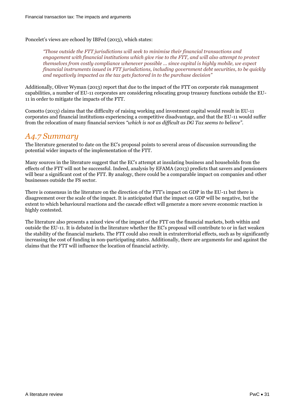Poncelet's views are echoed by IBFed (2013), which states:

*"Those outside the FTT jurisdictions will seek to minimise their financial transactions and engagement with financial institutions which give rise to the FTT, and will also attempt to protect themselves from costly compliance whenever possible ... since capital is highly mobile, we expect financial instruments issued in FTT jurisdictions, including government debt securities, to be quickly and negatively impacted as the tax gets factored in to the purchase decision"*

Additionally, Oliver Wyman (2013) report that due to the impact of the FTT on corporate risk management capabilities, a number of EU-11 corporates are considering relocating group treasury functions outside the EU-11 in order to mitigate the impacts of the FTT.

Comotto (2013) claims that the difficulty of raising working and investment capital would result in EU-11 corporates and financial institutions experiencing a competitive disadvantage, and that the EU-11 would suffer from the relocation of many financial services *"which is not as difficult as DG Tax seems to believe".*

### *A4.7 Summary*

The literature generated to date on the EC's proposal points to several areas of discussion surrounding the potential wider impacts of the implementation of the FTT.

Many sources in the literature suggest that the EC's attempt at insulating business and households from the effects of the FTT will not be successful. Indeed, analysis by EFAMA (2013) predicts that savers and pensioners will bear a significant cost of the FTT. By analogy, there could be a comparable impact on companies and other businesses outside the FS sector.

There is consensus in the literature on the direction of the FTT's impact on GDP in the EU-11 but there is disagreement over the scale of the impact. It is anticipated that the impact on GDP will be negative, but the extent to which behavioural reactions and the cascade effect will generate a more severe economic reaction is highly contested.

The literature also presents a mixed view of the impact of the FTT on the financial markets, both within and outside the EU-11. It is debated in the literature whether the EC's proposal will contribute to or in fact weaken the stability of the financial markets. The FTT could also result in extraterritorial effects, such as by significantly increasing the cost of funding in non-participating states. Additionally, there are arguments for and against the claims that the FTT will influence the location of financial activity.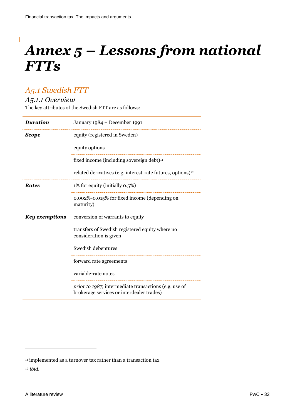# <span id="page-33-0"></span>*Annex 5 – Lessons from national FTTs*

## *A5.1 Swedish FTT*

#### *A5.1.1 Overview*

The key attributes of the Swedish FTT are as follows:

| <b>Duration</b>       | January 1984 - December 1991                                                                       |
|-----------------------|----------------------------------------------------------------------------------------------------|
| <b>Scope</b>          | equity (registered in Sweden)                                                                      |
|                       | equity options                                                                                     |
|                       | fixed income (including sovereign debt) <sup>11</sup>                                              |
|                       | related derivatives (e.g. interest-rate futures, options) <sup>12</sup>                            |
| <b>Rates</b>          | 1% for equity (initially 0.5%)                                                                     |
|                       | 0.002%-0.015% for fixed income (depending on<br>maturity)                                          |
| <b>Key exemptions</b> | conversion of warrants to equity                                                                   |
|                       | transfers of Swedish registered equity where no<br>consideration is given                          |
|                       | Swedish debentures                                                                                 |
|                       | forward rate agreements                                                                            |
|                       | variable-rate notes                                                                                |
|                       | prior to 1987, intermediate transactions (e.g. use of<br>brokerage services or interdealer trades) |

<sup>12</sup> *ibid.*

 $^{\rm 11}$  implemented as a turnover tax rather than a transaction tax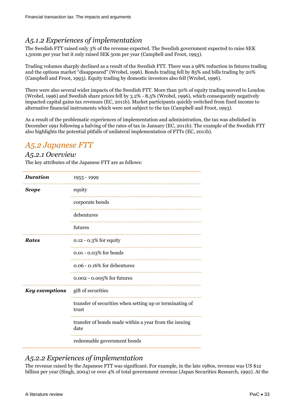## *A5.1.2 Experiences of implementation*

The Swedish FTT raised only 3% of the revenue expected. The Swedish government expected to raise SEK 1,500m per year but it only raised SEK 50m per year (Campbell and Froot, 1993).

Trading volumes sharply declined as a result of the Swedish FTT. There was a 98% reduction in futures trading and the options market "disappeared" (Wrobel, 1996). Bonds trading fell by 85% and bills trading by 20% (Campbell and Froot, 1993). Equity trading by domestic investors also fell (Wrobel, 1996).

There were also several wider impacts of the Swedish FTT. More than 50% of equity trading moved to London (Wrobel, 1996) and Swedish share prices fell by 3.2% - 8.5% (Wrobel, 1996), which consequently negatively impacted capital gains tax revenues (EC, 2011b). Market participants quickly switched from fixed income to alternative financial instruments which were not subject to the tax (Campbell and Froot, 1993).

As a result of the problematic experiences of implementation and administration, the tax was abolished in December 1991 following a halving of the rates of tax in January (EC, 2011b). The example of the Swedish FTT also highlights the potential pitfalls of unilateral implementation of FTTs (EC, 2011b).

## *A5.2 Japanese FTT*

#### *A5.2.1 Overview*

The key attributes of the Japanese FTT are as follows:

| <b>Duration</b>       | $1953 - 1999$                                                     |
|-----------------------|-------------------------------------------------------------------|
| <b>Scope</b>          | equity                                                            |
|                       | corporate bonds                                                   |
|                       | debentures                                                        |
|                       | futures                                                           |
| <b>Rates</b>          | $0.12 - 0.3\%$ for equity                                         |
|                       | $0.01 - 0.03\%$ for bonds                                         |
|                       | $0.06$ - 0.16% for debentures                                     |
|                       | $0.002 - 0.005\%$ for futures                                     |
| <b>Key exemptions</b> | gift of securities                                                |
|                       | transfer of securities when setting up or terminating of<br>trust |
|                       | transfer of bonds made within a year from the issuing<br>date     |
|                       | redeemable government bonds                                       |

### *A5.2.2 Experiences of implementation*

The revenue raised by the Japanese FTT was significant. For example, in the late 1980s, revenue was US \$12 billion per year (Singh, 2004) or over 4% of total government revenue (Japan Securities Research, 1992). At the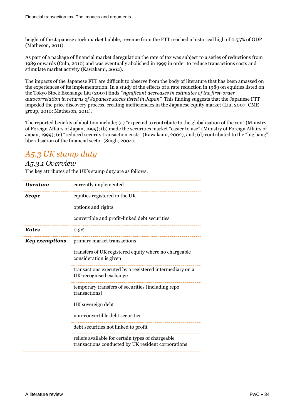height of the Japanese stock market bubble, revenue from the FTT reached a historical high of 0.55% of GDP (Matheson, 2011).

As part of a package of financial market deregulation the rate of tax was subject to a series of reductions from 1989 onwards (Culp, 2010) and was eventually abolished in 1999 in order to reduce transactions costs and stimulate market activity (Kawakami, 2002).

The impacts of the Japanese FTT are difficult to observe from the body of literature that has been amassed on the experiences of its implementation. In a study of the effects of a rate reduction in 1989 on equities listed on the Tokyo Stock Exchange Liu (2007) finds *"significant decreases in estimates of the first-order autocorrelation in returns of Japanese stocks listed in Japan".* This finding suggests that the Japanese FTT impeded the price discovery process, creating inefficiencies in the Japanese equity market (Liu, 2007; CME group, 2010; Matheson, 2011).

The reported benefits of abolition include; (a) "expected to contribute to the globalisation of the yen" (Ministry of Foreign Affairs of Japan, 1999); (b) made the securities market "easier to use" (Ministry of Foreign Affairs of Japan, 1999); (c) "reduced security transaction costs" (Kawakami, 2002), and; (d) contributed to the "big bang" liberalisation of the financial sector (Singh, 2004).

# *A5.3 UK stamp duty*

#### *A5.3.1 Overview*

The key attributes of the UK's stamp duty are as follows:

| <b>Duration</b>       | currently implemented                                                                                   |
|-----------------------|---------------------------------------------------------------------------------------------------------|
| <b>Scope</b>          | equities registered in the UK                                                                           |
|                       | options and rights                                                                                      |
|                       | convertible and profit-linked debt securities                                                           |
| <b>Rates</b>          | 0.5%                                                                                                    |
| <b>Key exemptions</b> | primary market transactions                                                                             |
|                       | transfers of UK registered equity where no chargeable<br>consideration is given                         |
|                       | transactions executed by a registered intermediary on a<br>UK-recognised exchange                       |
|                       | temporary transfers of securities (including repo<br>transactions)                                      |
|                       | UK sovereign debt                                                                                       |
|                       | non-convertible debt securities                                                                         |
|                       | debt securities not linked to profit                                                                    |
|                       | reliefs available for certain types of chargeable<br>transactions conducted by UK resident corporations |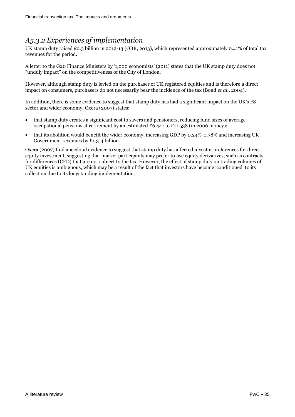## *A5.3.2 Experiences of implementation*

UK stamp duty raised £2.3 billion in 2012-13 (OBR, 2013), which represented approximately 0.41% of total tax revenues for the period.

A letter to the G20 Finance Ministers by '1,000 economists' (2011) states that the UK stamp duty does not "unduly impact" on the competitiveness of the City of London.

However, although stamp duty is levied on the purchaser of UK registered equities and is therefore a direct impact on consumers, purchasers do not necessarily bear the incidence of the tax (Bond *et al*., 2004).

In addition, there is some evidence to suggest that stamp duty has had a significant impact on the UK's FS sector and wider economy. Oxera (2007) states:

- that stamp duty creates a significant cost to savers and pensioners, reducing fund sizes of average occupational pensions at retirement by an estimated £6,441 to £11,538 (in 2006 money);
- that its abolition would benefit the wider economy, increasing GDP by 0.24%-0.78% and increasing UK Government revenues by £1.3-4 billion.

Oxera (2007) find anecdotal evidence to suggest that stamp duty has affected investor preferences for direct equity investment, suggesting that market participants may prefer to use equity derivatives, such as contracts for differences (CFD) that are not subject to the tax. However, the effect of stamp duty on trading volumes of UK equities is ambiguous, which may be a result of the fact that investors have become 'conditioned' to its collection due to its longstanding implementation.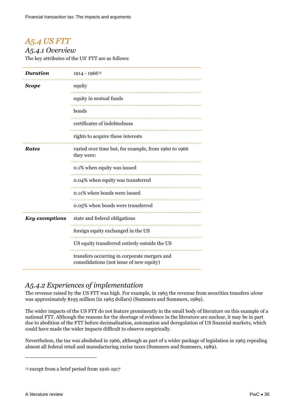# *A5.4 US FTT*

#### *A5.4.1 Overview*

The key attributes of the US' FTT are as follows:

| <b>Duration</b>       | 1914 - 1966 <sup>13</sup>                                                                |
|-----------------------|------------------------------------------------------------------------------------------|
| <b>Scope</b>          | equity                                                                                   |
|                       | equity in mutual funds                                                                   |
|                       | bonds                                                                                    |
|                       | certificates of indebtedness                                                             |
|                       | rights to acquire these interests                                                        |
| <b>Rates</b>          | varied over time but, for example, from 1960 to 1966<br>they were:                       |
|                       | 0.1% when equity was issued                                                              |
|                       | 0.04% when equity was transferred                                                        |
|                       | 0.11% when bonds were issued                                                             |
|                       | 0.05% when bonds were transferred                                                        |
| <b>Key exemptions</b> | state and federal obligations                                                            |
|                       | foreign equity exchanged in the US                                                       |
|                       | US equity transferred entirely outside the US                                            |
|                       | transfers occurring in corporate mergers and<br>consolidations (not issue of new equity) |

#### *A5.4.2 Experiences of implementation*

The revenue raised by the US FTT was high. For example, in 1965 the revenue from securities transfers *alone* was approximately \$195 million (in 1965 dollars) (Summers and Summers, 1989).

The wider impacts of the US FTT do not feature prominently in the small body of literature on this example of a national FTT. Although the reasons for the shortage of evidence in the literature are unclear, it may be in part due to abolition of the FTT before decimalisation, automation and deregulation of US financial markets, which could have made the wider impacts difficult to observe empirically.

Nevertheless, the tax was abolished in 1966, although as part of a wider package of legislation in 1965 repealing almost all federal retail and manufacturing excise taxes (Summers and Summers, 1989).

<sup>13</sup> except from a brief period from 1916-1917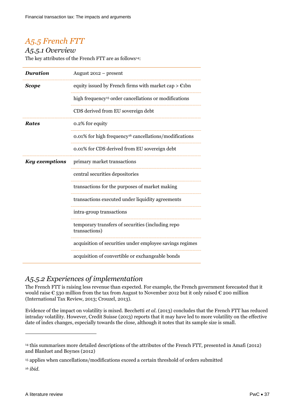# *A5.5 French FTT*

#### *A5.5.1 Overview*

The key attributes of the French FTT are as follows<sup>14</sup>:

| <b>Duration</b>       | August 2012 - present                                              |
|-----------------------|--------------------------------------------------------------------|
| <b>Scope</b>          | equity issued by French firms with market cap $> \epsilon$ 1bn     |
|                       | high frequency <sup>15</sup> order cancellations or modifications  |
|                       | CDS derived from EU sovereign debt                                 |
| <b>Rates</b>          | 0.2% for equity                                                    |
|                       | 0.01% for high frequency <sup>16</sup> cancellations/modifications |
|                       | 0.01% for CDS derived from EU sovereign debt                       |
| <b>Key exemptions</b> | primary market transactions                                        |
|                       | central securities depositories                                    |
|                       | transactions for the purposes of market making                     |
|                       | transactions executed under liquidity agreements                   |
|                       | intra-group transactions                                           |
|                       | temporary transfers of securities (including repo<br>transactions) |
|                       | acquisition of securities under employee savings regimes           |
|                       | acquisition of convertible or exchangeable bonds                   |

#### *A5.5.2 Experiences of implementation*

The French FTT is raising less revenue than expected. For example, the French government forecasted that it would raise  $\epsilon$  530 million from the tax from August to November 2012 but it only raised  $\epsilon$  200 million (International Tax Review, 2013; Crouzel, 2013).

Evidence of the impact on volatility is mixed. Becchetti *et al.* (2013) concludes that the French FTT has reduced intraday volatility. However, Credit Suisse (2013) reports that it may have led to more volatility on the effective date of index changes, especially towards the close, although it notes that its sample size is small.

<sup>15</sup> applies when cancellations/modifications exceed a certain threshold of orders submitted

<sup>16</sup> *ibid.*

<sup>14</sup> this summarises more detailed descriptions of the attributes of the French FTT, presented in Amafi (2012) and Blanluet and Boynes (2012)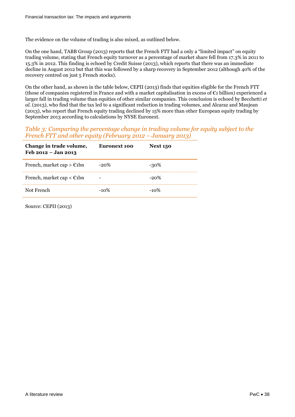The evidence on the volume of trading is also mixed, as outlined below.

On the one hand, TABB Group (2013) reports that the French FTT had a only a "limited impact" on equity trading volume, stating that French equity turnover as a percentage of market share fell from 17.3% in 2011 to 15.3% in 2012. This finding is echoed by Credit Suisse (2013), which reports that there was an immediate decline in August 2012 but that this was followed by a sharp recovery in September 2012 (although 40% of the recovery centred on just 5 French stocks).

On the other hand, as shown in the table below, CEPII (2013) finds that equities eligible for the French FTT (those of companies registered in France and with a market capitalisation in excess of €1 billion) experienced a larger fall in trading volume than equities of other similar companies. This conclusion is echoed by Becchetti *et al*. (2013), who find that the tax led to a significant reduction in trading volumes, and Alcaraz and Maujean (2013), who report that French equity trading declined by 15% more than other European equity trading by September 2013 according to calculations by NYSE Euronext.

#### *Table 3: Comparing the percentage change in trading volume for equity subject to the French FTT and other equity (February 2012 – January 2013)*

| Change in trade volume,<br>Feb 2012 - Jan 2013  | Euronext 100 | <b>Next 150</b> |
|-------------------------------------------------|--------------|-----------------|
| French, market cap $> \text{\textsterling}1$ bn | $-20\%$      | $-30\%$         |
| French, market cap $\epsilon$ C1bn              |              | -20%            |
| Not French                                      | $-10\%$      | $-10\%$         |

Source: CEPII (2013)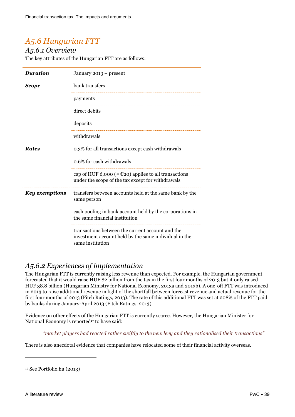# *A5.6 Hungarian FTT*

#### *A5.6.1 Overview*

The key attributes of the Hungarian FTT are as follows:

| <b>Duration</b>       | January 2013 - present                                                                                                        |
|-----------------------|-------------------------------------------------------------------------------------------------------------------------------|
| <b>Scope</b>          | bank transfers                                                                                                                |
|                       | payments                                                                                                                      |
|                       | direct debits                                                                                                                 |
|                       | deposits                                                                                                                      |
|                       | withdrawals                                                                                                                   |
| <b>Rates</b>          | 0.3% for all transactions except cash withdrawals                                                                             |
|                       | 0.6% for cash withdrawals                                                                                                     |
|                       | cap of HUF 6,000 ( $\approx$ €20) applies to all transactions<br>under the scope of the tax except for withdrawals            |
| <b>Key exemptions</b> | transfers between accounts held at the same bank by the<br>same person                                                        |
|                       | cash pooling in bank account held by the corporations in<br>the same financial institution                                    |
|                       | transactions between the current account and the<br>investment account held by the same individual in the<br>same institution |

### *A5.6.2 Experiences of implementation*

The Hungarian FTT is currently raising less revenue than expected. For example, the Hungarian government forecasted that it would raise HUF 82 billion from the tax in the first four months of 2013 but it only raised HUF 38.8 billion (Hungarian Ministry for National Economy, 2013a and 2013b). A one-off FTT was introduced in 2013 to raise additional revenue in light of the shortfall between forecast revenue and actual revenue for the first four months of 2013 (Fitch Ratings, 2013). The rate of this additional FTT was set at 208% of the FTT paid by banks during January-April 2013 (Fitch Ratings, 2013).

Evidence on other effects of the Hungarian FTT is currently scarce. However, the Hungarian Minister for National Economy is reported<sup>17</sup> to have said:

*"market players had reacted rather swiftly to the new levy and they rationalised their transactions"*

There is also anecdotal evidence that companies have relocated some of their financial activity overseas.

<sup>17</sup> See Portfolio.hu (2013)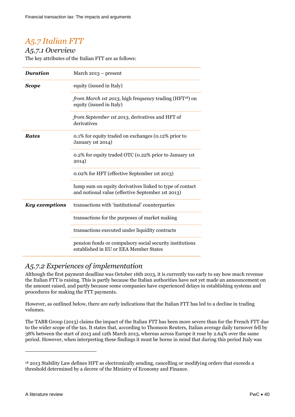# *A5.7 Italian FTT*

#### *A5.7.1 Overview*

The key attributes of the Italian FTT are as follows:

| <b>Duration</b>       | March $2013$ – present                                                                                        |
|-----------------------|---------------------------------------------------------------------------------------------------------------|
| <b>Scope</b>          | equity (issued in Italy)                                                                                      |
|                       | from March 1st 2013, high frequency trading (HFT <sup>18</sup> ) on<br>equity (issued in Italy)               |
|                       | from September 1st 2013, derivatives and HFT of<br>derivatives                                                |
| <b>Rates</b>          | 0.1% for equity traded on exchanges (0.12% prior to<br>January 1st 2014)                                      |
|                       | 0.2% for equity traded OTC (0.22% prior to January 1st<br>2014)                                               |
|                       | 0.02% for HFT (effective September 1st 2013)                                                                  |
|                       | lump sum on equity derivatives linked to type of contact<br>and notional value (effective September 1st 2013) |
| <b>Key exemptions</b> | transactions with 'institutional' counterparties                                                              |
|                       | transactions for the purposes of market making                                                                |
|                       | transactions executed under liquidity contracts                                                               |
|                       | pension funds or compulsory social security institutions<br>established in EU or EEA Member States            |

### *A5.7.2 Experiences of implementation*

Although the first payment deadline was October 16th 2013, it is currently too early to say how much revenue the Italian FTT is raising. This is partly because the Italian authorities have not yet made an announcement on the amount raised, and partly because some companies have experienced delays in establishing systems and procedures for making the FTT payments.

However, as outlined below, there are early indications that the Italian FTT has led to a decline in trading volumes.

The TABB Group (2013) claims the impact of the Italian FTT has been more severe than for the French FTT due to the wider scope of the tax. It states that, according to Thomson Reuters, Italian average daily turnover fell by 38% between the start of 2013 and 12th March 2013, whereas across Europe it rose by 2.64% over the same period. However, when interpreting these findings it must be borne in mind that during this period Italy was

<sup>18</sup> 2013 Stability Law defines HFT as electronically sending, cancelling or modifying orders that exceeds a threshold determined by a decree of the Ministry of Economy and Finance.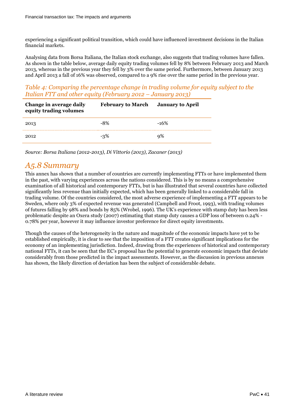experiencing a significant political transition, which could have influenced investment decisions in the Italian financial markets.

Analysing data from Borsa Italiana, the Italian stock exchange, also suggests that trading volumes have fallen. As shown in the table below, average daily equity trading volumes fell by 8% between February 2013 and March 2013, whereas in the previous year they fell by 3% over the same period. Furthermore, between January 2013 and April 2013 a fall of 16% was observed, compared to a 9% rise over the same period in the previous year.

*Table 4: Comparing the percentage change in trading volume for equity subject to the Italian FTT and other equity (February 2012 – January 2013)*

| Change in average daily<br>equity trading volumes | <b>February to March</b> | <b>January to April</b> |
|---------------------------------------------------|--------------------------|-------------------------|
| 2013                                              |                          | $-16%$                  |
| 2012                                              | -3%                      | ۹%                      |

*Source: Borsa Italiana (2012-2013), Di Vittorio (2013), Zacaner (2013)*

### *A5.8 Summary*

This annex has shown that a number of countries are currently implementing FTTs or have implemented them in the past, with varying experiences across the nations considered. This is by no means a comprehensive examination of all historical and contemporary FTTs, but is has illustrated that several countries have collected significantly less revenue than initially expected, which has been generally linked to a considerable fall in trading volume. Of the countries considered, the most adverse experience of implementing a FTT appears to be Sweden, where only 3% of expected revenue was generated (Campbell and Froot, 1993), with trading volumes of futures falling by 98% and bonds by 85% (Wrobel, 1996). The UK's experience with stamp duty has been less problematic despite an Oxera study (2007) estimating that stamp duty causes a GDP loss of between 0.24% - 0.78% per year, however it may influence investor preference for direct equity investments.

Though the causes of the heterogeneity in the nature and magnitude of the economic impacts have yet to be established empirically, it is clear to see that the imposition of a FTT creates significant implications for the economy of an implementing jurisdiction. Indeed, drawing from the experiences of historical and contemporary national FTTs, it can be seen that the EC's proposal has the potential to generate economic impacts that deviate considerably from those predicted in the impact assessments. However, as the discussion in previous annexes has shown, the likely direction of deviation has been the subject of considerable debate.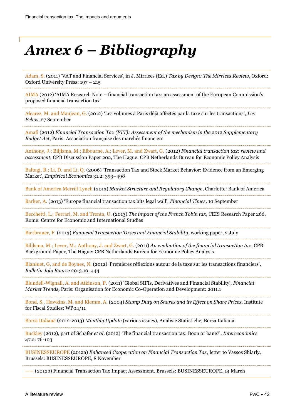# <span id="page-43-0"></span>*Annex 6 – Bibliography*

Adam, S. (2011) 'VAT and Financial Services', in J. Mirrlees (Ed.) *Tax by Design: The Mirrlees Review*, Oxford: Oxford University Press: 197 – 215

AIMA (2012) 'AIMA Research Note – financial transaction tax: an assessment of the European Commission's proposed financial transaction tax'

Alcarez, M. and Maujean, G. (2012) 'Les volumes à Paris déjà affectés par la taxe sur les transactions', *Les Echos*, 27 September

Amafi (2012) *Financial Transaction Tax (FTT): Assessment of the mechanism in the 2012 Supplementary Budget Act*, Paris: Association française des marchés financiers

Anthony, J.; Biljlsma, M.; Elbourne, A.; Lever, M. and Zwart, G. (2012) *Financial transaction tax: review and assessment*, CPB Discussion Paper 202, The Hague: CPB Netherlands Bureau for Economic Policy Analysis

Baltagi, B.; Li, D. and Li, Q. (2006) 'Transaction Tax and Stock Market Behavior: Evidence from an Emerging Market', *Empirical Economics* 31.2: 393–498

Bank of America Merrill Lynch (2013) *Market Structure and Regulatory Change*, Charlotte: Bank of America

Barker, A. (2013) 'Europe financial transaction tax hits legal wall', *Financial Times,* 10 September

Becchetti, L.; Ferrari, M. and Trenta, U. (2013) *The impact of the French Tobin tax*, CEIS Research Paper 266, Rome: Centre for Economic and International Studies

Bierbrauer, F. (2013) *Financial Transaction Taxes and Financial Stability*, working paper, 2 July

Biljlsma, M.; Lever, M.; Anthony, J. and Zwart, G. (2011) *An evaluation of the financial transaction tax*, CPB Background Paper, The Hague: CPB Netherlands Bureau for Economic Policy Analysis

Blanluet, G. and de Boynes, N. (2012) 'Premières réflexions autour de la taxe sur les transactions financiers', *Bulletin Joly Bourse* 2013.10: 444

Blundell-Wignall, A. and Atkinson, P. (2011) 'Global SIFIs, Derivatives and Financial Stability', *Financial Market Trends,* Paris: Organisation for Economic Co-Operation and Development: 2011.1

Bond, S., Hawkins, M. and Klemm, A. (2004) *Stamp Duty on Shares and its Effect on Share Prices*, Institute for Fiscal Studies: WP04/11

Borsa Italiana (2012-2013) *Monthly Update* (various issues), Analisie Statistiche, Borsa Italiana

Buckley (2012), part of Schäfer *et al.* (2012) 'The financial transaction tax: Boon or bane?', *Intereconomics* 47.2: 76-103

BUSINESSEUROPE (2012a) *Enhanced Cooperation on Financial Transaction Tax*, letter to Vassos Shiarly, Brussels: BUSINESSEUROPE, 8 November

—— (2012b) Financial Transaction Tax Impact Assessment, Brussels: BUSINESSEUROPE, 14 March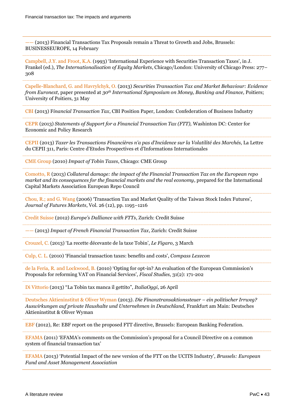—— (2013) Financial Transactions Tax Proposals remain a Threat to Growth and Jobs, Brussels: BUSINESSEUROPE, 14 February

Campbell, J.Y. and Froot, K.A. (1993) 'International Experience with Securities Transaction Taxes', in J. Frankel (ed.), *The Internationalisation of Equity Markets*, Chicago/London: University of Chicago Press: 277– 308

Capelle-Blanchard, G. and Havrylchyk, O. (2013) *Securities Transaction Tax and Market Behaviour: Evidence from Euronext,* paper presented at *30th International Symposium on Money, Banking and Finance,* Poitiers; University of Poitiers, 31 May

CBI (2013) F*inancial Transaction Tax*, CBI Position Paper, London: Confederation of Business Industry

CEPR (2013) *Statements of Support for a Financial Transaction Tax (FTT),* Washinton DC: Center for Economic and Policy Research

CEPII (2013) *Taxer les Transactions Financières n'a pas d'Incidence sur la Volatilité des Marchés,* La Lettre du CEPII 311, Paris: Centre d'Etudes Prospectives et d'Informations Internationales

CME Group (2010) *Impact of Tobin Taxes*, Chicago: CME Group

Comotto, R (2013) *Collateral damage: the impact of the Financial Transaction Tax on the European repo market and its consequences for the financial markets and the real economy*, prepared for the International Capital Markets Association European Repo Council

Chou, R.; and G. Wang (2006) 'Transaction Tax and Market Quality of the Taiwan Stock Index Futures', *Journal of Futures Markets*, Vol. 26 (12), pp. 1195–1216

Credit Suisse (2012) *Europe's Dalliance with FTTs*, Zurich: Credit Suisse

—— (2013) *Impact of French Financial Transaction Tax*, Zurich: Credit Suisse

Crouzel, C. (2013) 'La recette décevante de la taxe Tobin', *Le Figaro,* 3 March

Culp, C. L. (2010) 'Financial transaction taxes: benefits and costs', *Compass Lexecon*

de la Feria, R. and Lockwood, B. (2010) 'Opting for opt-in? An evaluation of the European Commission's Proposals for reforming VAT on Financial Services', *Fiscal Studies,* 31(2): 171-202

Di Vittorio (2013) "La Tobin tax manca il gettito", *ItaliaOggi*, 26 April

Deutsches Aktieninstitut & Oliver Wyman (2013). *Die Finanztransaktionssteuer – ein politischer Irrweg? Auswirkungen auf private Haushalte und Unternehmen in Deutschland,* Frankfurt am Main: Deutsches Aktieninstitut & Oliver Wyman

EBF (2012), Re: EBF report on the proposed FTT directive, Brussels: European Banking Federation.

EFAMA (2011) 'EFAMA's comments on the Commission's proposal for a Council Directive on a common system of financial transaction tax'

EFAMA (2013) 'Potential Impact of the new version of the FTT on the UCITS Industry', *Brussels: European Fund and Asset Management Association*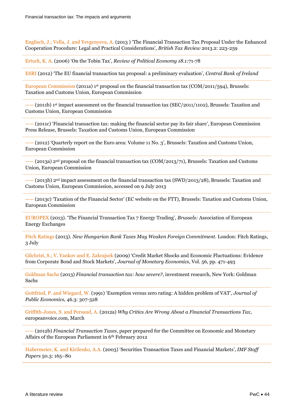Englisch, J.; Vella, J. and Yevgenyeva, A. (2013 ) 'The Financial Transaction Tax Proposal Under the Enhanced Cooperation Procedure: Legal and Practical Considerations', *British Tax Review* 2013.2: 223-259

Erturk, K. A. (2006) 'On the Tobin Tax'*, Review of Political Economy 18.1:*71-78

ESRI (2012) 'The EU financial transaction tax proposal: a preliminary evaluation', *Central Bank of Ireland*

European Commission (2011a) 1st proposal on the financial transaction tax ( $COM/2011/594$ ), Brussels: Taxation and Customs Union, European Commission

- (2011b) 1<sup>st</sup> impact assessment on the financial transaction tax (SEC/2011/1102), Brussels: Taxation and Customs Union, European Commission

—— (2011c) 'Financial transaction tax: making the financial sector pay its fair share', European Commission Press Release, Brussels: Taxation and Customs Union, European Commission

—— (2012) 'Quarterly report on the Euro area: Volume 11 No. 3', Brussels: Taxation and Customs Union, European Commission

 $(2013a)$  2<sup>nd</sup> proposal on the financial transaction tax  $(COM/2013/71)$ , Brussels: Taxation and Customs Union, European Commission

—— (2013b) 2nd impact assessment on the financial transaction tax (SWD/2013/28), Brussels: Taxation and Customs Union, European Commission, accessed on 9 July 2013

—— (2013c) 'Taxation of the Financial Sector' (EC website on the FTT), Brussels: Taxation and Customs Union, European Commission

EUROPEX (2013). 'The Financial Transaction Tax 7 Energy Trading', *Brussels:* Association of European Energy Exchanges

Fitch Ratings (2013). *New Hungarian Bank Taxes May Weaken Foreign Commitment.* London: Fitch Ratings, 3 July

Gilchrist, S.; V. Yankov and E. Zakrajsek (2009) 'Credit Market Shocks and Economic Fluctuations: Evidence from Corporate Bond and Stock Markets', *Journal of Monetary Economics*, Vol. 56, pp. 471-493

Goldman Sachs (2013) *Financial transaction tax: how severe?*, investment research, New York: Goldman Sachs

Gottfried, P. and Wiegard, W. (1991) 'Exemption versus zero rating: A hidden problem of VAT', *Journal of Public Economics,* 46.3: 307-328

Griffith-Jones, S. and Persaud, A. (2012a) *Why Critics Are Wrong About a Financial Transactions Tax*, europeanvoice.com, March

—— (2012b) *Financial Transaction Taxes*, paper prepared for the Committee on Economic and Monetary Affairs of the European Parliament in 6th February 2012

Habermeier, K. and Kirilenko, A.A. (2003) 'Securities Transaction Taxes and Financial Markets', *IMF Staff Papers* 50.3: 165–80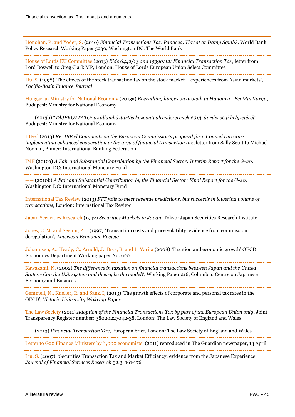Honohan, P. and Yoder, S. (2010) *Financial Transactions Tax. Panacea, Threat or Damp Squib?*, World Bank Policy Research Working Paper 5230, Washington DC: The World Bank

House of Lords EU Committee (2013) *EMs 6442/13 and 15390/12: Financial Transaction Tax*, letter from Lord Boswell to Greg Clark MP, London: House of Lords European Union Select Committee

Hu, S. (1998) 'The effects of the stock transaction tax on the stock market – experiences from Asian markets', *Pacific-Basin Finance Journal*

Hungarian Ministry for National Economy (2013a) *Everything hinges on growth in Hungary - EcoMin Varga*, Budapest: Ministry for National Economy

—— (2013b) "*TÁJÉKOZTATÓ: az államháztartás központi alrendszerének 2013. április végi helyzetéről*", Budapest: Ministry for National Economy

IBFed (2013) *Re: IBFed Comments on the European Commission's proposal for a Council Directive implementing enhanced cooperation in the area of financial transaction tax*, letter from Sally Scutt to Michael Noonan, Pinner: International Banking Federation

IMF (2010a) *A Fair and Substantial Contribution by the Financial Sector: Interim Report for the G-20*, Washington DC: International Monetary Fund

—— (2010b) *A Fair and Substantial Contribution by the Financial Sector: Final Report for the G-20*, Washington DC: International Monetary Fund

International Tax Review (2013) *FTT fails to meet revenue predictions, but succeeds in lowering volume of transactions*, London: International Tax Review

Japan Securities Research (1992) *Securities Markets in Japan*, Tokyo: Japan Securities Research Institute

Jones, C. M. and Seguin, P.J. (1997) 'Transaction costs and price volatility: evidence from commission deregulation', *American Economic Review*

Johannsen, A., Heady, C., Arnold, J., Brys, B. and L. Varita (2008) 'Taxation and economic growth' OECD Economics Department Working paper No. 620

Kawakami, N. (2002) *The difference in taxation on financial transactions between Japan and the United States - Can the U.S. system and theory be the model?*, Working Paper 216, Columbia: Centre on Japanese Economy and Business

Gemmell, N., Kneller, R. and Sanz. I, (2013) 'The growth effects of corporate and personal tax rates in the OECD', *Victoria University Wokring Paper*

The Law Society (2011) *Adoption of the Financial Transactions Tax by part of the European Union only*, Joint Transparency Register number: 38020227042-38, London: The Law Society of England and Wales

—— (2013) *Financial Transaction Tax*, European brief, London: The Law Society of England and Wales

Letter to G20 Finance Ministers by '1,000 economists' (2011) reproduced in The Guardian newspaper, 13 April

Liu, S. (2007). 'Securities Transaction Tax and Market Efficiency: evidence from the Japanese Experience', *Journal of Financial Services Research* 32.3: 161-176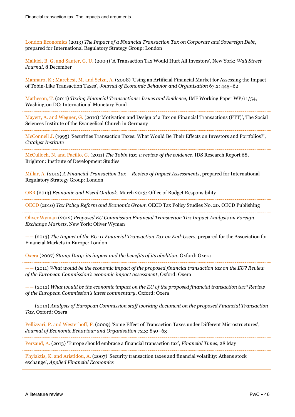London Economics (2013) *The Impact of a Financial Transaction Tax on Corporate and Sovereign Debt*, prepared for International Regulatory Strategy Group: London

Malkiel, B. G. and Sauter, G. U. (2009) 'A Transaction Tax Would Hurt All Investors', New York: *Wall Street Journal*, 8 December

Mannaro, K.; Marchesi, M. and Setzu, A. (2008) 'Using an Artificial Financial Market for Assessing the Impact of Tobin-Like Transaction Taxes', *Journal of Economic Behavior and Organisation* 67.2: 445–62

Matheson, T. (2011) *Taxing Financial Transactions: Issues and Evidence,* IMF Working Paper WP/11/54, Washington DC: International Monetary Fund

Mayert, A. and Wegner, G. (2010) 'Motivation and Design of a Tax on Financial Transactions (FTT)', The Social Sciences Institute of the Evangelical Church in Germany

McConnell J. (1995) 'Securities Transaction Taxes: What Would Be Their Effects on Investors and Portfolios?', *Catalyst Institute*

McCulloch, N. and Pacillo, G. (2011) *The Tobin tax: a review of the evidence*, IDS Research Report 68, Brighton: Institute of Development Studies

Millar, A. (2012) *A Financial Transaction Tax – Review of Impact Assessments*, prepared for International Regulatory Strategy Group: London

OBR (2013) *Economic and Fiscal Outlook*. March 2013: Office of Budget Responsibility

OECD (2010) *Tax Policy Reform and Economic Growt.* OECD Tax Policy Studies No. 20. OECD Publishing

Oliver Wyman (2012) *Proposed EU Commission Financial Transaction Tax Impact Analysis on Foreign Exchange Markets*, New York: Oliver Wyman

—— (2013) *The Impact of the EU-11 Financial Transaction Tax on End-Users,* prepared for the Association for Financial Markets in Europe: London

Oxera (2007) *Stamp Duty: its impact and the benefits of its abolition*, Oxford: Oxera

—— (2011) *What would be the economic impact of the proposed financial transaction tax on the EU? Review of the European Commission's economic impact assessment*, Oxford: Oxera

—— (2012) *What would be the economic impact on the EU of the proposed financial transaction tax? Review of the European Commission's latest commentary*, Oxford: Oxera

—— (2013) *Analysis of European Commission staff working document on the proposed Financial Transaction Tax*, Oxford: Oxera

Pellizzari, P. and Westerhoff, F. (2009) 'Some Effect of Transaction Taxes under Different Microstructures', *Journal of Economic Behaviour and Organisation* 72.3: 850–63

Persaud, A. (2013) 'Europe should embrace a financial transaction tax', *Financial Times*, 28 May

Phylaktis, K. and Aristidou, A. (2007) 'Security transaction taxes and financial volatility: Athens stock exchange', *Applied Financial Economics*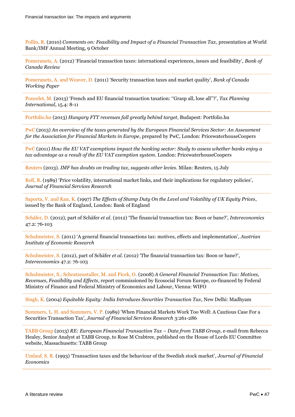Pollin, R. (2010) *Comments on: Feasibility and Impact of a Financial Transaction Tax*, presentation at World Bank/IMF Annual Meeting, 9 October

Pomeranets, A. (2012) 'Financial transaction taxes: international experiences, issues and feasibility', *Bank of Canada Review*

Pomeranets, A. and Weaver, D. (2011) 'Security transaction taxes and market quality', *Bank of Canada Working Paper*

Poncelet, M. (2013) 'French and EU financial transaction taxation: ''Grasp all, lose all''?', *Tax Planning International*, 15.4: 8-11

Portfolio.hu (2013) *Hungary FTT revenues fall greatly behind target*, Budapest: Portfolio.hu

PwC (2013) *An overview of the taxes generated by the European Financial Services Sector: An Assessment for the Association for Financial Markets in Europe*, prepared by PwC, London: PricewaterhouseCoopers

PwC (2011) *How the EU VAT exemptions impact the banking sector: Study to assess whether banks enjoy a tax advantage as a result of the EU VAT exemption system.* London: PricewaterhouseCoopers

Reuters (2013). *IMF has doubts on trading tax, suggests other levies.* Milan: Reuters, 15 July

Roll, R. (1989) 'Price volatility, international market links, and their implications for regulatory policies', *Journal of Financial Services Research*

Saporta, V. and Kan, K. (1997) *The Effects of Stamp Duty On the Level and Volatility of UK Equity Prices*, issued by the Bank of England, London: Bank of England

Schäfer, D. (2012), part of Schäfer *et al.* (2012) 'The financial transaction tax: Boon or bane?', *Intereconomics* 47.2: 76-103

Schulmeister, S. (2011) 'A general financial transactions tax: motives, effects and implementation', *Austrian Institute of Economic Research*

Schulmeister, S. (2012), part of Schäfer *et al.* (2012) 'The financial transaction tax: Boon or bane?', *Intereconomics* 47.2: 76-103

Schulmeister, S.; Schratzenstaller, M. and Picek, O. (2008) *A General Financial Transaction Tax: Motives, Revenues, Feasibility and Effects*, report commissioned by Ecosocial Forum Europe, co-financed by Federal Ministry of Finance and Federal Ministry of Economics and Labour, Vienna: WIFO

Singh, K. (2004) *Equitable Equity: India Introduces Securities Transaction Tax*, New Delhi: Madhyam

Summers, L. H. and Summers, V. P. (1989) 'When Financial Markets Work Too Well: A Cautious Case For a Securities Transaction Tax', *Journal of Financial Services Research* 3:261-286

TABB Group (2013) *RE: European Financial Transaction Tax – Data from TABB Group*, e-mail from Rebecca Healey, Senior Analyst at TABB Group, to Rose M Crabtree, published on the House of Lords EU Committee website, Massachusetts: TABB Group

Umlauf, S. R. (1993) 'Transaction taxes and the behaviour of the Swedish stock market', *Journal of Financial Economics*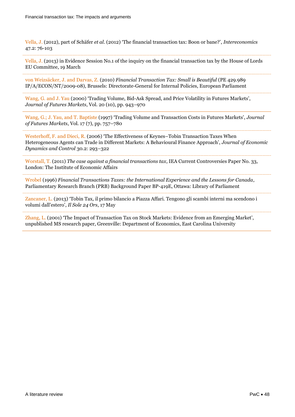Vella, J. (2012), part of Schäfer *et al.* (2012) 'The financial transaction tax: Boon or bane?', *Intereconomics* 47.2: 76-103

Vella, J. (2013) in Evidence Session No.1 of the inquiry on the financial transaction tax by the House of Lords EU Committee, 19 March

von Weizsäcker, J. and Darvas, Z. (2010) *Financial Transaction Tax: Small is Beautiful* (PE 429.989 IP/A/ECON/NT/2009-08), Brussels: Directorate-General for Internal Policies, European Parliament

Wang, G. and J. Yau (2000) 'Trading Volume, Bid-Ask Spread, and Price Volatility in Futures Markets', *Journal of Futures Markets*, Vol. 20 (10), pp. 943–970

Wang, G.; J. Yau, and T. Baptiste (1997) 'Trading Volume and Transaction Costs in Futures Markets', *Journal of Futures Markets*, Vol. 17 (7), pp. 757–780

Westerhoff, F. and Dieci, R. (2006) 'The Effectiveness of Keynes–Tobin Transaction Taxes When Heterogeneous Agents can Trade in Different Markets: A Behavioural Finance Approach', *Journal of Economic Dynamics and Control* 30.2: 293–322

Worstall, T. (2011) *The case against a financial transactions tax*, IEA Current Controversies Paper No. 33, London: The Institute of Economic Affairs

Wrobel (1996) *Financial Transactions Taxes: the International Experience and the Lessons for Canada*, Parliamentary Research Branch (PRB) Background Paper BP-419E, Ottawa: Library of Parliament

Zancaner, L. (2013) 'Tobin Tax, il primo bilancio a Piazza Affari. Tengono gli scambi interni ma scendono i volumi dall'estero', *Il Sole 24 Ors*, 17 May

Zhang, L. (2001) 'The Impact of Transaction Tax on Stock Markets: Evidence from an Emerging Market', unpublished MS research paper, Greenville: Department of Economics, East Carolina University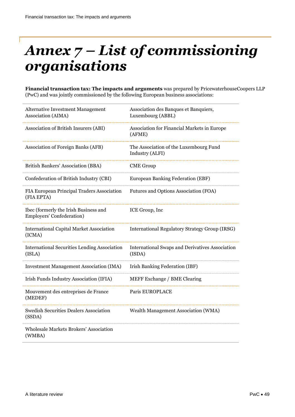# <span id="page-50-0"></span>*Annex 7 – List of commissioning organisations*

**Financial transaction tax: The impacts and arguments** was prepared by PricewaterhouseCoopers LLP (PwC) and was jointly commissioned by the following European business associations:

| <b>Alternative Investment Management</b><br>Association (AIMA)     | Association des Banques et Banquiers,<br>Luxembourg (ABBL)       |  |
|--------------------------------------------------------------------|------------------------------------------------------------------|--|
| Association of British Insurers (ABI)                              | Association for Financial Markets in Europe<br>(AFME)            |  |
| Association of Foreign Banks (AFB)                                 | The Association of the Luxembourg Fund<br>Industry (ALFI)        |  |
| British Bankers' Association (BBA)                                 | <b>CME Group</b>                                                 |  |
| Confederation of British Industry (CBI)                            | European Banking Federation (EBF)                                |  |
| FIA European Principal Traders Association<br>(FIA EPTA)           | Futures and Options Association (FOA)                            |  |
| Ibec (formerly the Irish Business and<br>Employers' Confederation) | ICE Group, Inc                                                   |  |
|                                                                    |                                                                  |  |
| <b>International Capital Market Association</b><br>(ICMA)          | <b>International Regulatory Strategy Group (IRSG)</b>            |  |
| <b>International Securities Lending Association</b><br>(ISLA)      | <b>International Swaps and Derivatives Association</b><br>(ISDA) |  |
| <b>Investment Management Association (IMA)</b>                     | Irish Banking Federation (IBF)                                   |  |
| Irish Funds Industry Association (IFIA)                            | MEFF Exchange / BME Clearing                                     |  |
| Mouvement des entreprises de France<br>(MEDEF)                     | Paris EUROPLACE                                                  |  |
| <b>Swedish Securities Dealers Association</b><br>(SSDA)            | Wealth Management Association (WMA)                              |  |